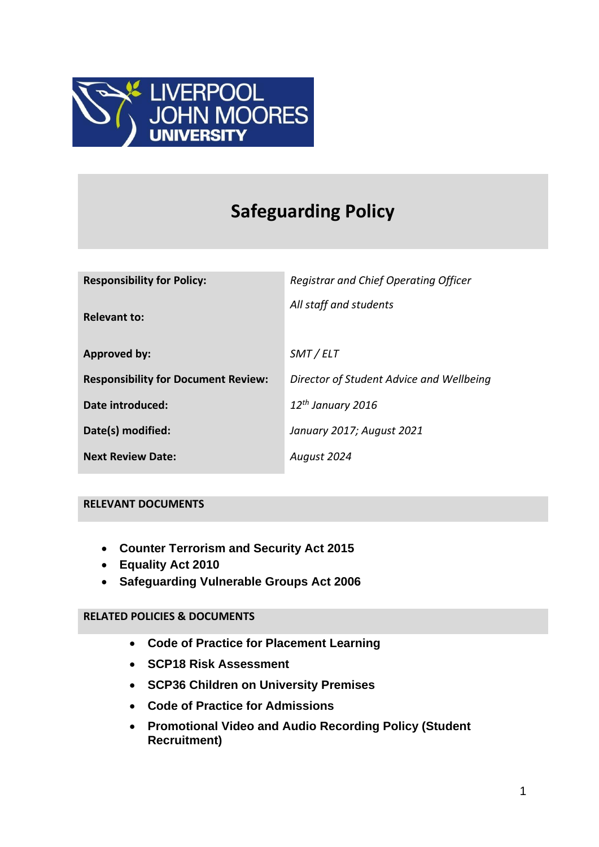

# **Safeguarding Policy**

| <b>Responsibility for Policy:</b>          | Registrar and Chief Operating Officer    |
|--------------------------------------------|------------------------------------------|
| <b>Relevant to:</b>                        | All staff and students                   |
| <b>Approved by:</b>                        | SMT / ELT                                |
| <b>Responsibility for Document Review:</b> | Director of Student Advice and Wellbeing |
| Date introduced:                           | $12th$ January 2016                      |
| Date(s) modified:                          | January 2017; August 2021                |
| <b>Next Review Date:</b>                   | August 2024                              |

#### **RELEVANT DOCUMENTS**

- **Counter Terrorism and Security Act 2015**
- **Equality Act 2010**
- **Safeguarding Vulnerable Groups Act 2006**

#### **RELATED POLICIES & DOCUMENTS**

- **Code of Practice for Placement Learning**
- **SCP18 Risk Assessment**
- **SCP36 Children on University Premises**
- **Code of Practice for Admissions**
- **Promotional Video and Audio Recording Policy (Student Recruitment)**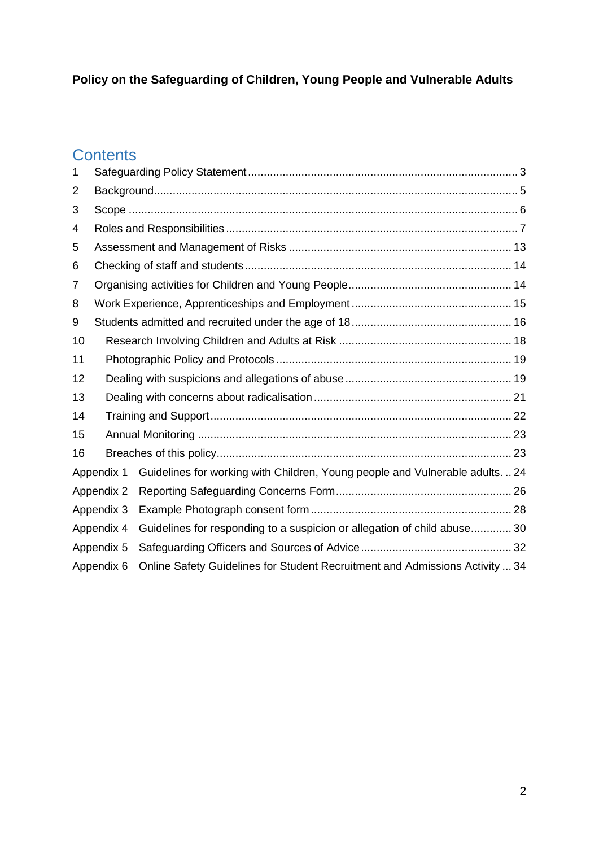# **Policy on the Safeguarding of Children, Young People and Vulnerable Adults**

# **Contents**

| 1  |            |                                                                               |  |
|----|------------|-------------------------------------------------------------------------------|--|
| 2  |            |                                                                               |  |
| 3  |            |                                                                               |  |
| 4  |            |                                                                               |  |
| 5  |            |                                                                               |  |
| 6  |            |                                                                               |  |
| 7  |            |                                                                               |  |
| 8  |            |                                                                               |  |
| 9  |            |                                                                               |  |
| 10 |            |                                                                               |  |
| 11 |            |                                                                               |  |
| 12 |            |                                                                               |  |
| 13 |            |                                                                               |  |
| 14 |            |                                                                               |  |
| 15 |            |                                                                               |  |
| 16 |            |                                                                               |  |
|    | Appendix 1 | Guidelines for working with Children, Young people and Vulnerable adults.  24 |  |
|    | Appendix 2 |                                                                               |  |
|    | Appendix 3 |                                                                               |  |
|    | Appendix 4 | Guidelines for responding to a suspicion or allegation of child abuse 30      |  |
|    | Appendix 5 |                                                                               |  |
|    | Appendix 6 | Online Safety Guidelines for Student Recruitment and Admissions Activity  34  |  |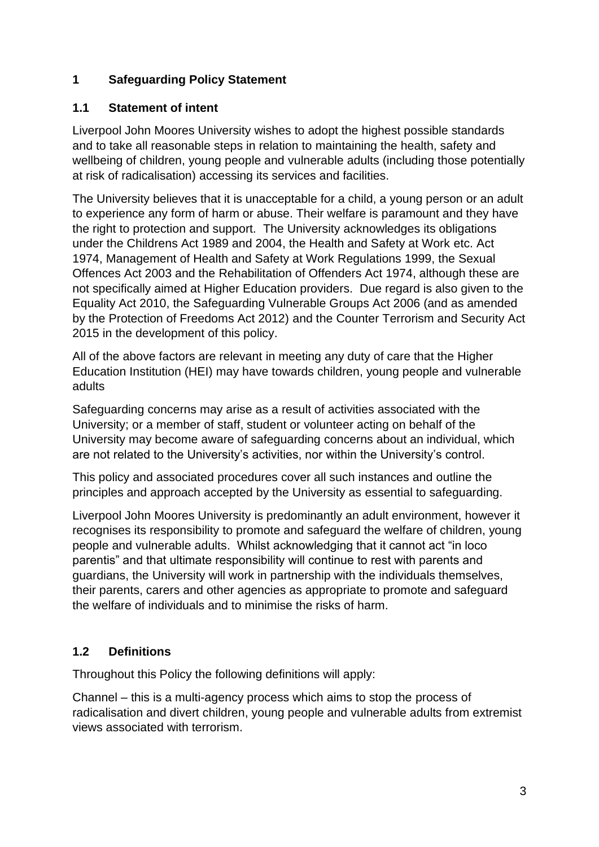# <span id="page-2-0"></span>**1 Safeguarding Policy Statement**

### **1.1 Statement of intent**

Liverpool John Moores University wishes to adopt the highest possible standards and to take all reasonable steps in relation to maintaining the health, safety and wellbeing of children, young people and vulnerable adults (including those potentially at risk of radicalisation) accessing its services and facilities.

The University believes that it is unacceptable for a child, a young person or an adult to experience any form of harm or abuse. Their welfare is paramount and they have the right to protection and support. The University acknowledges its obligations under the Childrens Act 1989 and 2004, the Health and Safety at Work etc. Act 1974, Management of Health and Safety at Work Regulations 1999, the Sexual Offences Act 2003 and the Rehabilitation of Offenders Act 1974, although these are not specifically aimed at Higher Education providers. Due regard is also given to the Equality Act 2010, the Safeguarding Vulnerable Groups Act 2006 (and as amended by the Protection of Freedoms Act 2012) and the Counter Terrorism and Security Act 2015 in the development of this policy.

All of the above factors are relevant in meeting any duty of care that the Higher Education Institution (HEI) may have towards children, young people and vulnerable adults

Safeguarding concerns may arise as a result of activities associated with the University; or a member of staff, student or volunteer acting on behalf of the University may become aware of safeguarding concerns about an individual, which are not related to the University's activities, nor within the University's control.

This policy and associated procedures cover all such instances and outline the principles and approach accepted by the University as essential to safeguarding.

Liverpool John Moores University is predominantly an adult environment, however it recognises its responsibility to promote and safeguard the welfare of children, young people and vulnerable adults. Whilst acknowledging that it cannot act "in loco parentis" and that ultimate responsibility will continue to rest with parents and guardians, the University will work in partnership with the individuals themselves, their parents, carers and other agencies as appropriate to promote and safeguard the welfare of individuals and to minimise the risks of harm.

# **1.2 Definitions**

Throughout this Policy the following definitions will apply:

Channel – this is a multi-agency process which aims to stop the process of radicalisation and divert children, young people and vulnerable adults from extremist views associated with terrorism.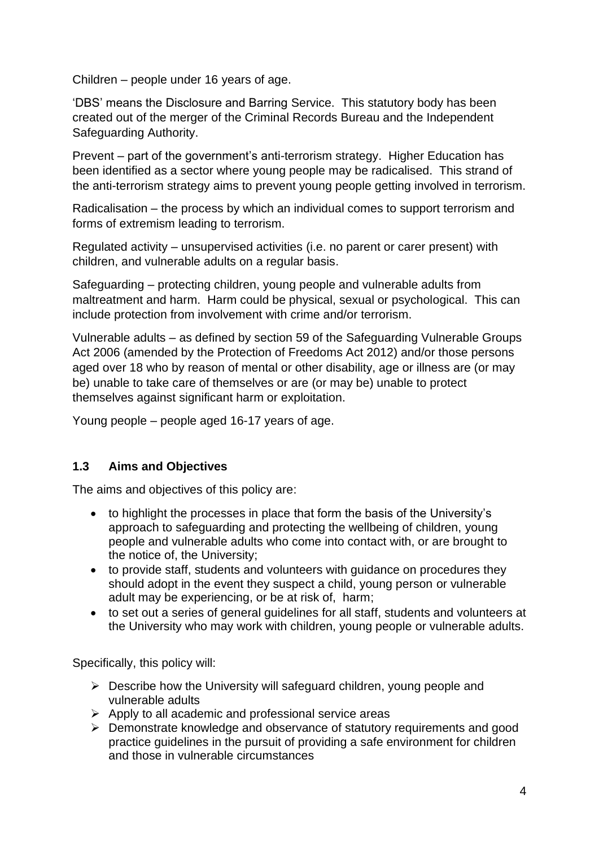Children – people under 16 years of age.

'DBS' means the Disclosure and Barring Service. This statutory body has been created out of the merger of the Criminal Records Bureau and the Independent Safeguarding Authority.

Prevent – part of the government's anti-terrorism strategy. Higher Education has been identified as a sector where young people may be radicalised. This strand of the anti-terrorism strategy aims to prevent young people getting involved in terrorism.

Radicalisation – the process by which an individual comes to support terrorism and forms of extremism leading to terrorism.

Regulated activity – unsupervised activities (i.e. no parent or carer present) with children, and vulnerable adults on a regular basis.

Safeguarding – protecting children, young people and vulnerable adults from maltreatment and harm. Harm could be physical, sexual or psychological. This can include protection from involvement with crime and/or terrorism.

Vulnerable adults – as defined by section 59 of the Safeguarding Vulnerable Groups Act 2006 (amended by the Protection of Freedoms Act 2012) and/or those persons aged over 18 who by reason of mental or other disability, age or illness are (or may be) unable to take care of themselves or are (or may be) unable to protect themselves against significant harm or exploitation.

Young people – people aged 16-17 years of age.

### **1.3 Aims and Objectives**

The aims and objectives of this policy are:

- to highlight the processes in place that form the basis of the University's approach to safeguarding and protecting the wellbeing of children, young people and vulnerable adults who come into contact with, or are brought to the notice of, the University;
- to provide staff, students and volunteers with guidance on procedures they should adopt in the event they suspect a child, young person or vulnerable adult may be experiencing, or be at risk of, harm;
- to set out a series of general guidelines for all staff, students and volunteers at the University who may work with children, young people or vulnerable adults.

Specifically, this policy will:

- $\triangleright$  Describe how the University will safeguard children, young people and vulnerable adults
- $\triangleright$  Apply to all academic and professional service areas
- ➢ Demonstrate knowledge and observance of statutory requirements and good practice guidelines in the pursuit of providing a safe environment for children and those in vulnerable circumstances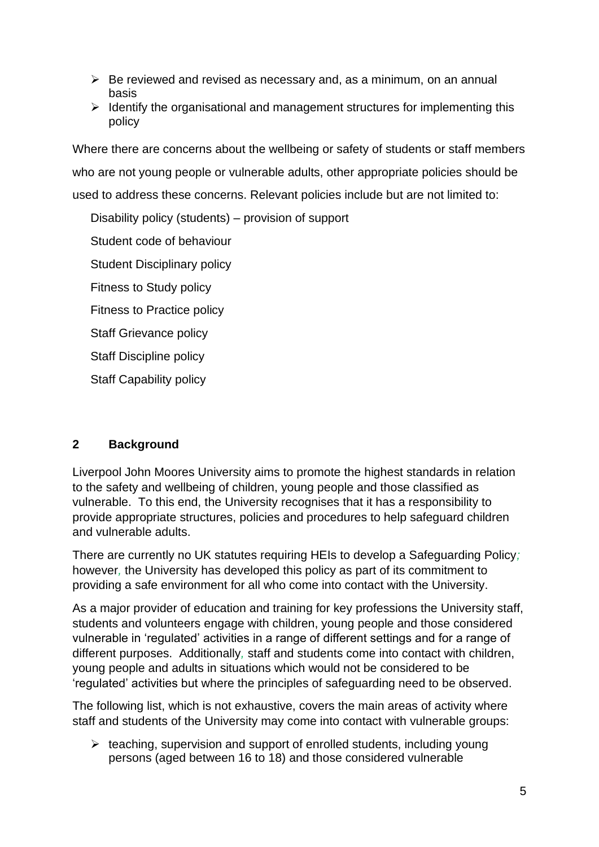- $\triangleright$  Be reviewed and revised as necessary and, as a minimum, on an annual basis
- $\triangleright$  Identify the organisational and management structures for implementing this policy

Where there are concerns about the wellbeing or safety of students or staff members who are not young people or vulnerable adults, other appropriate policies should be used to address these concerns. Relevant policies include but are not limited to:

Disability policy (students) – provision of support Student code of behaviour

Student Disciplinary policy

Fitness to Study policy

Fitness to Practice policy

Staff Grievance policy

Staff Discipline policy

Staff Capability policy

# <span id="page-4-0"></span>**2 Background**

Liverpool John Moores University aims to promote the highest standards in relation to the safety and wellbeing of children, young people and those classified as vulnerable. To this end, the University recognises that it has a responsibility to provide appropriate structures, policies and procedures to help safeguard children and vulnerable adults.

There are currently no UK statutes requiring HEIs to develop a Safeguarding Policy*;* however*,* the University has developed this policy as part of its commitment to providing a safe environment for all who come into contact with the University.

As a major provider of education and training for key professions the University staff, students and volunteers engage with children, young people and those considered vulnerable in 'regulated' activities in a range of different settings and for a range of different purposes. Additionally*,* staff and students come into contact with children, young people and adults in situations which would not be considered to be 'regulated' activities but where the principles of safeguarding need to be observed.

The following list, which is not exhaustive, covers the main areas of activity where staff and students of the University may come into contact with vulnerable groups:

➢ teaching, supervision and support of enrolled students, including young persons (aged between 16 to 18) and those considered vulnerable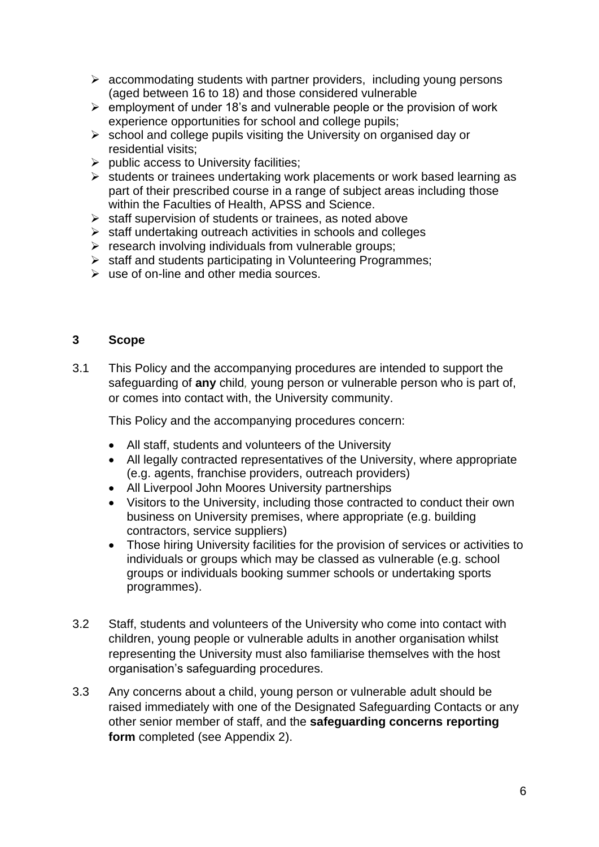- $\triangleright$  accommodating students with partner providers, including young persons (aged between 16 to 18) and those considered vulnerable
- $\triangleright$  employment of under 18's and vulnerable people or the provision of work experience opportunities for school and college pupils;
- ➢ school and college pupils visiting the University on organised day or residential visits;
- ➢ public access to University facilities;
- ➢ students or trainees undertaking work placements or work based learning as part of their prescribed course in a range of subject areas including those within the Faculties of Health, APSS and Science.
- ➢ staff supervision of students or trainees, as noted above
- ➢ staff undertaking outreach activities in schools and colleges
- $\triangleright$  research involving individuals from vulnerable groups;
- ➢ staff and students participating in Volunteering Programmes;
- $\triangleright$  use of on-line and other media sources.

### <span id="page-5-0"></span>**3 Scope**

3.1 This Policy and the accompanying procedures are intended to support the safeguarding of **any** child*,* young person or vulnerable person who is part of, or comes into contact with, the University community.

This Policy and the accompanying procedures concern:

- All staff, students and volunteers of the University
- All legally contracted representatives of the University, where appropriate (e.g. agents, franchise providers, outreach providers)
- All Liverpool John Moores University partnerships
- Visitors to the University, including those contracted to conduct their own business on University premises, where appropriate (e.g. building contractors, service suppliers)
- Those hiring University facilities for the provision of services or activities to individuals or groups which may be classed as vulnerable (e.g. school groups or individuals booking summer schools or undertaking sports programmes).
- 3.2 Staff, students and volunteers of the University who come into contact with children, young people or vulnerable adults in another organisation whilst representing the University must also familiarise themselves with the host organisation's safeguarding procedures.
- 3.3 Any concerns about a child, young person or vulnerable adult should be raised immediately with one of the Designated Safeguarding Contacts or any other senior member of staff, and the **safeguarding concerns reporting form** completed (see Appendix 2).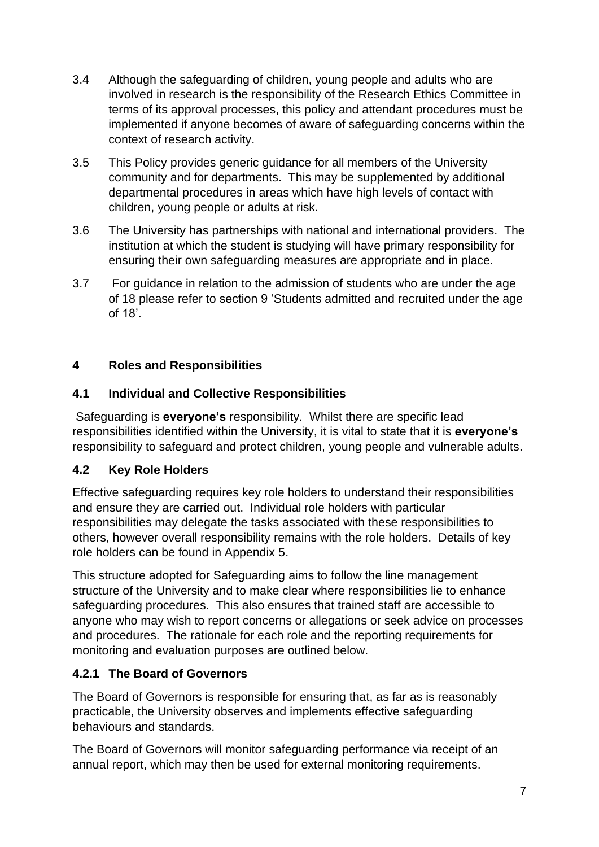- 3.4 Although the safeguarding of children, young people and adults who are involved in research is the responsibility of the Research Ethics Committee in terms of its approval processes, this policy and attendant procedures must be implemented if anyone becomes of aware of safeguarding concerns within the context of research activity.
- 3.5 This Policy provides generic guidance for all members of the University community and for departments. This may be supplemented by additional departmental procedures in areas which have high levels of contact with children, young people or adults at risk.
- 3.6 The University has partnerships with national and international providers. The institution at which the student is studying will have primary responsibility for ensuring their own safeguarding measures are appropriate and in place.
- 3.7 For guidance in relation to the admission of students who are under the age of 18 please refer to section 9 'Students admitted and recruited under the age of 18'.

# <span id="page-6-0"></span>**4 Roles and Responsibilities**

# **4.1 Individual and Collective Responsibilities**

Safeguarding is **everyone's** responsibility. Whilst there are specific lead responsibilities identified within the University, it is vital to state that it is **everyone's** responsibility to safeguard and protect children, young people and vulnerable adults.

# **4.2 Key Role Holders**

Effective safeguarding requires key role holders to understand their responsibilities and ensure they are carried out. Individual role holders with particular responsibilities may delegate the tasks associated with these responsibilities to others, however overall responsibility remains with the role holders. Details of key role holders can be found in Appendix 5.

This structure adopted for Safeguarding aims to follow the line management structure of the University and to make clear where responsibilities lie to enhance safeguarding procedures. This also ensures that trained staff are accessible to anyone who may wish to report concerns or allegations or seek advice on processes and procedures. The rationale for each role and the reporting requirements for monitoring and evaluation purposes are outlined below.

# **4.2.1 The Board of Governors**

The Board of Governors is responsible for ensuring that, as far as is reasonably practicable, the University observes and implements effective safeguarding behaviours and standards.

The Board of Governors will monitor safeguarding performance via receipt of an annual report, which may then be used for external monitoring requirements.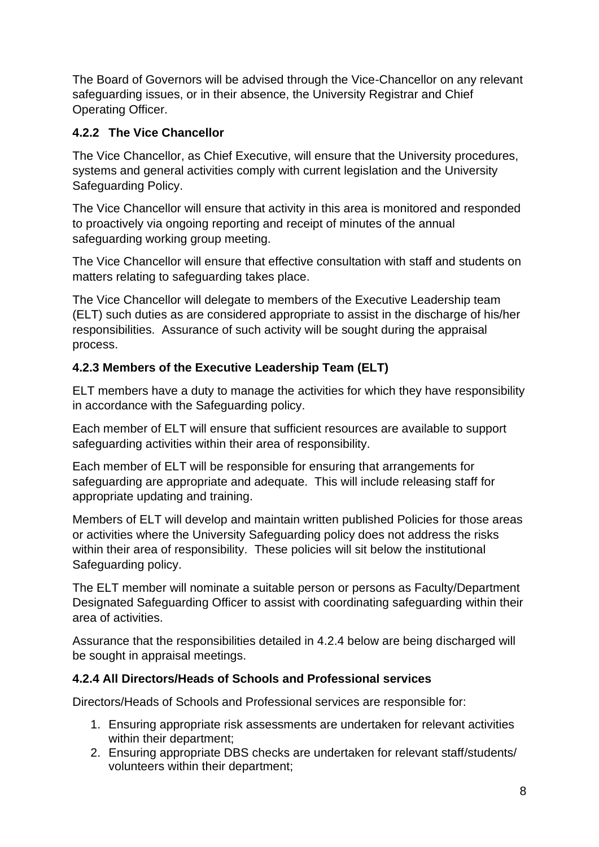The Board of Governors will be advised through the Vice-Chancellor on any relevant safeguarding issues, or in their absence, the University Registrar and Chief Operating Officer.

# **4.2.2 The Vice Chancellor**

The Vice Chancellor, as Chief Executive, will ensure that the University procedures, systems and general activities comply with current legislation and the University Safeguarding Policy.

The Vice Chancellor will ensure that activity in this area is monitored and responded to proactively via ongoing reporting and receipt of minutes of the annual safeguarding working group meeting.

The Vice Chancellor will ensure that effective consultation with staff and students on matters relating to safeguarding takes place.

The Vice Chancellor will delegate to members of the Executive Leadership team (ELT) such duties as are considered appropriate to assist in the discharge of his/her responsibilities. Assurance of such activity will be sought during the appraisal process.

# **4.2.3 Members of the Executive Leadership Team (ELT)**

ELT members have a duty to manage the activities for which they have responsibility in accordance with the Safeguarding policy.

Each member of ELT will ensure that sufficient resources are available to support safeguarding activities within their area of responsibility.

Each member of ELT will be responsible for ensuring that arrangements for safeguarding are appropriate and adequate. This will include releasing staff for appropriate updating and training.

Members of ELT will develop and maintain written published Policies for those areas or activities where the University Safeguarding policy does not address the risks within their area of responsibility. These policies will sit below the institutional Safeguarding policy.

The ELT member will nominate a suitable person or persons as Faculty/Department Designated Safeguarding Officer to assist with coordinating safeguarding within their area of activities.

Assurance that the responsibilities detailed in 4.2.4 below are being discharged will be sought in appraisal meetings.

# **4.2.4 All Directors/Heads of Schools and Professional services**

Directors/Heads of Schools and Professional services are responsible for:

- 1. Ensuring appropriate risk assessments are undertaken for relevant activities within their department;
- 2. Ensuring appropriate DBS checks are undertaken for relevant staff/students/ volunteers within their department;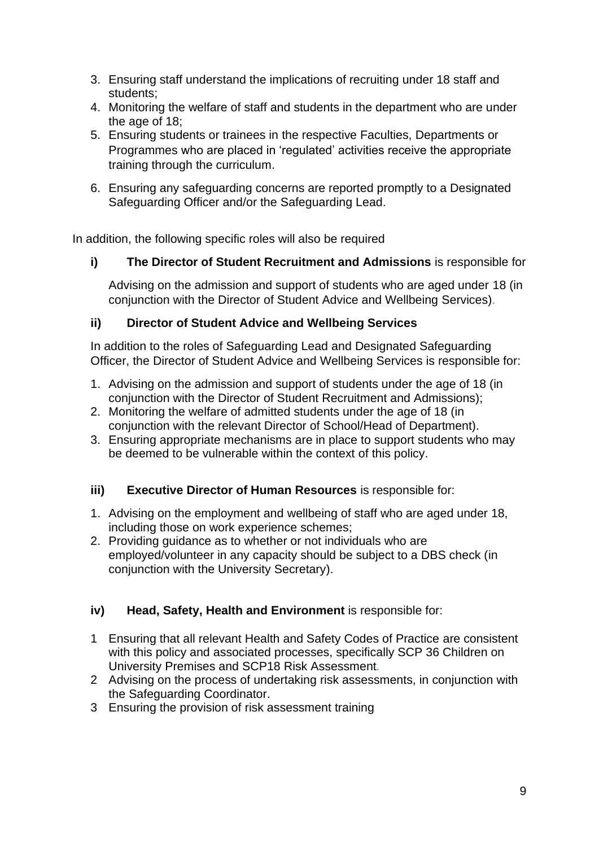- 3. Ensuring staff understand the implications of recruiting under 18 staff and students;
- 4. Monitoring the welfare of staff and students in the department who are under the age of 18;
- 5. Ensuring students or trainees in the respective Faculties, Departments or Programmes who are placed in 'regulated' activities receive the appropriate training through the curriculum.
- 6. Ensuring any safeguarding concerns are reported promptly to a Designated Safeguarding Officer and/or the Safeguarding Lead.

In addition, the following specific roles will also be required

**i) The Director of Student Recruitment and Admissions** is responsible for

Advising on the admission and support of students who are aged under 18 (in conjunction with the Director of Student Advice and Wellbeing Services).

### **ii) Director of Student Advice and Wellbeing Services**

In addition to the roles of Safeguarding Lead and Designated Safeguarding Officer, the Director of Student Advice and Wellbeing Services is responsible for:

- 1. Advising on the admission and support of students under the age of 18 (in conjunction with the Director of Student Recruitment and Admissions);
- 2. Monitoring the welfare of admitted students under the age of 18 (in conjunction with the relevant Director of School/Head of Department).
- 3. Ensuring appropriate mechanisms are in place to support students who may be deemed to be vulnerable within the context of this policy.

### **iii) Executive Director of Human Resources** is responsible for:

- 1. Advising on the employment and wellbeing of staff who are aged under 18, including those on work experience schemes;
- 2. Providing guidance as to whether or not individuals who are employed/volunteer in any capacity should be subject to a DBS check (in conjunction with the University Secretary).

### **iv) Head, Safety, Health and Environment** is responsible for:

- 1 Ensuring that all relevant Health and Safety Codes of Practice are consistent with this policy and associated processes, specifically SCP 36 Children on University Premises and SCP18 Risk Assessment*.*
- 2 Advising on the process of undertaking risk assessments, in conjunction with the Safeguarding Coordinator.
- 3 Ensuring the provision of risk assessment training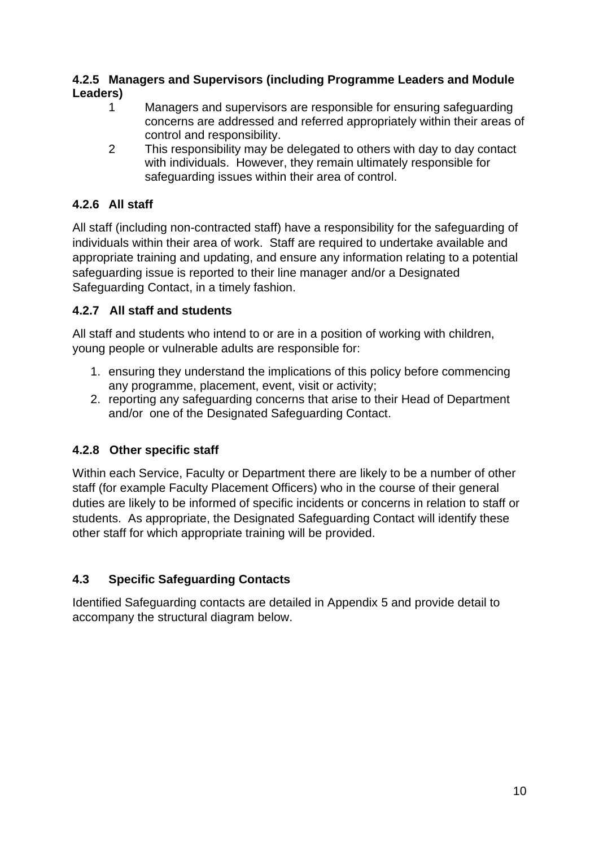## **4.2.5 Managers and Supervisors (including Programme Leaders and Module Leaders)**

- 1 Managers and supervisors are responsible for ensuring safeguarding concerns are addressed and referred appropriately within their areas of control and responsibility.
- 2 This responsibility may be delegated to others with day to day contact with individuals. However, they remain ultimately responsible for safeguarding issues within their area of control.

# **4.2.6 All staff**

All staff (including non-contracted staff) have a responsibility for the safeguarding of individuals within their area of work. Staff are required to undertake available and appropriate training and updating, and ensure any information relating to a potential safeguarding issue is reported to their line manager and/or a Designated Safeguarding Contact, in a timely fashion.

# **4.2.7 All staff and students**

All staff and students who intend to or are in a position of working with children, young people or vulnerable adults are responsible for:

- 1. ensuring they understand the implications of this policy before commencing any programme, placement, event, visit or activity;
- 2. reporting any safeguarding concerns that arise to their Head of Department and/or one of the Designated Safeguarding Contact.

# **4.2.8 Other specific staff**

Within each Service, Faculty or Department there are likely to be a number of other staff (for example Faculty Placement Officers) who in the course of their general duties are likely to be informed of specific incidents or concerns in relation to staff or students. As appropriate, the Designated Safeguarding Contact will identify these other staff for which appropriate training will be provided.

# **4.3 Specific Safeguarding Contacts**

Identified Safeguarding contacts are detailed in Appendix 5 and provide detail to accompany the structural diagram below.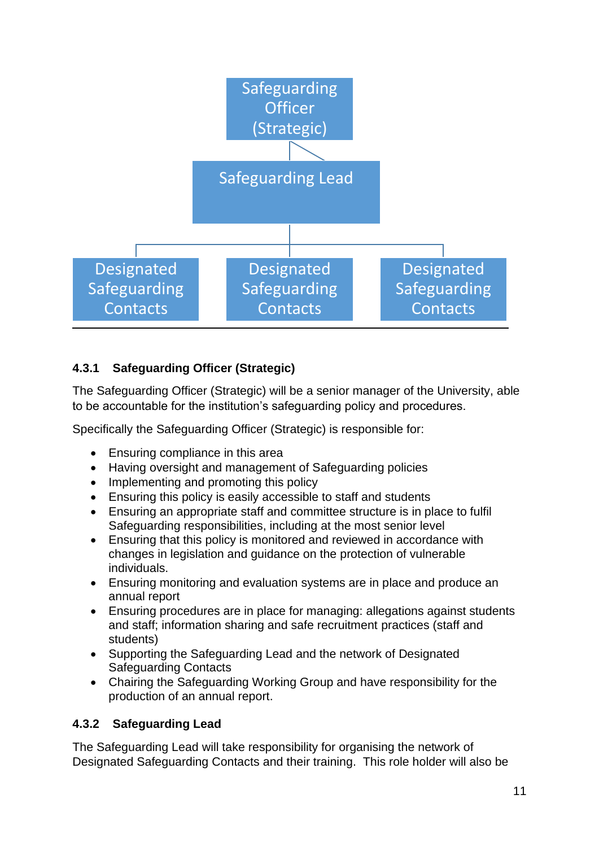

# **4.3.1 Safeguarding Officer (Strategic)**

The Safeguarding Officer (Strategic) will be a senior manager of the University, able to be accountable for the institution's safeguarding policy and procedures.

Specifically the Safeguarding Officer (Strategic) is responsible for:

- Ensuring compliance in this area
- Having oversight and management of Safeguarding policies
- Implementing and promoting this policy
- Ensuring this policy is easily accessible to staff and students
- Ensuring an appropriate staff and committee structure is in place to fulfil Safeguarding responsibilities, including at the most senior level
- Ensuring that this policy is monitored and reviewed in accordance with changes in legislation and guidance on the protection of vulnerable individuals.
- Ensuring monitoring and evaluation systems are in place and produce an annual report
- Ensuring procedures are in place for managing: allegations against students and staff; information sharing and safe recruitment practices (staff and students)
- Supporting the Safeguarding Lead and the network of Designated Safeguarding Contacts
- Chairing the Safeguarding Working Group and have responsibility for the production of an annual report.

# **4.3.2 Safeguarding Lead**

The Safeguarding Lead will take responsibility for organising the network of Designated Safeguarding Contacts and their training. This role holder will also be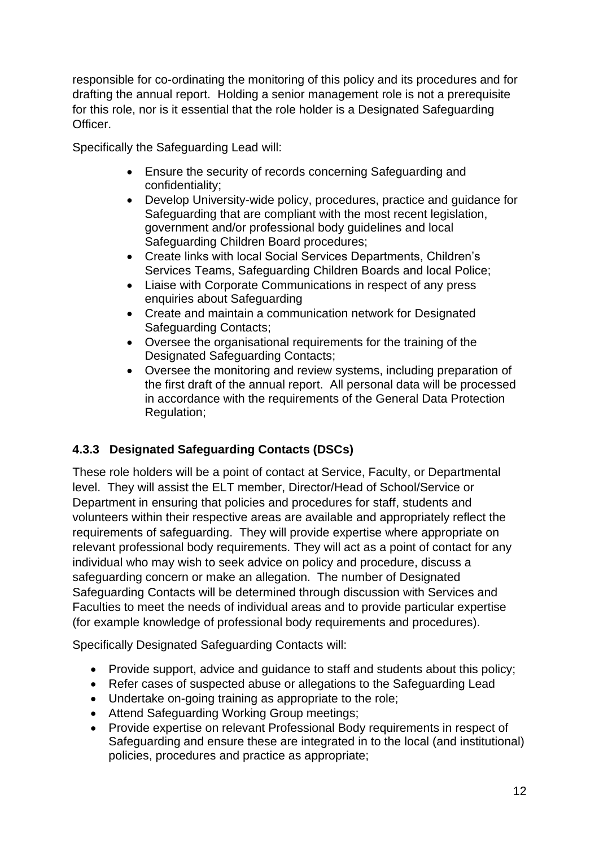responsible for co-ordinating the monitoring of this policy and its procedures and for drafting the annual report. Holding a senior management role is not a prerequisite for this role, nor is it essential that the role holder is a Designated Safeguarding Officer.

Specifically the Safeguarding Lead will:

- Ensure the security of records concerning Safeguarding and confidentiality;
- Develop University-wide policy, procedures, practice and guidance for Safeguarding that are compliant with the most recent legislation, government and/or professional body guidelines and local Safeguarding Children Board procedures;
- Create links with local Social Services Departments, Children's Services Teams, Safeguarding Children Boards and local Police;
- Liaise with Corporate Communications in respect of any press enquiries about Safeguarding
- Create and maintain a communication network for Designated Safeguarding Contacts;
- Oversee the organisational requirements for the training of the Designated Safeguarding Contacts;
- Oversee the monitoring and review systems, including preparation of the first draft of the annual report. All personal data will be processed in accordance with the requirements of the General Data Protection Regulation;

# **4.3.3 Designated Safeguarding Contacts (DSCs)**

These role holders will be a point of contact at Service, Faculty, or Departmental level. They will assist the ELT member, Director/Head of School/Service or Department in ensuring that policies and procedures for staff, students and volunteers within their respective areas are available and appropriately reflect the requirements of safeguarding. They will provide expertise where appropriate on relevant professional body requirements. They will act as a point of contact for any individual who may wish to seek advice on policy and procedure, discuss a safeguarding concern or make an allegation. The number of Designated Safeguarding Contacts will be determined through discussion with Services and Faculties to meet the needs of individual areas and to provide particular expertise (for example knowledge of professional body requirements and procedures).

Specifically Designated Safeguarding Contacts will:

- Provide support, advice and guidance to staff and students about this policy;
- Refer cases of suspected abuse or allegations to the Safeguarding Lead
- Undertake on-going training as appropriate to the role;
- Attend Safeguarding Working Group meetings;
- Provide expertise on relevant Professional Body requirements in respect of Safeguarding and ensure these are integrated in to the local (and institutional) policies, procedures and practice as appropriate;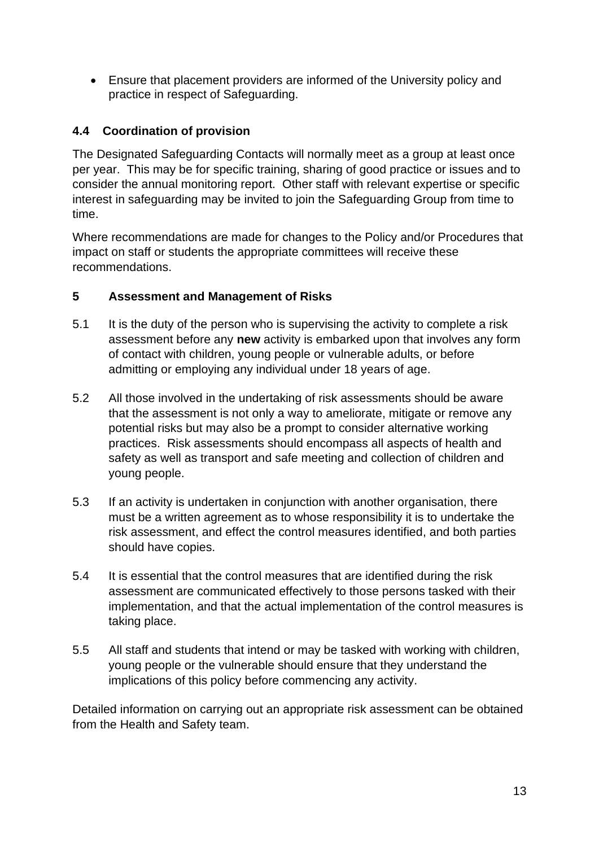• Ensure that placement providers are informed of the University policy and practice in respect of Safeguarding.

# **4.4 Coordination of provision**

The Designated Safeguarding Contacts will normally meet as a group at least once per year. This may be for specific training, sharing of good practice or issues and to consider the annual monitoring report. Other staff with relevant expertise or specific interest in safeguarding may be invited to join the Safeguarding Group from time to time.

Where recommendations are made for changes to the Policy and/or Procedures that impact on staff or students the appropriate committees will receive these recommendations.

# <span id="page-12-0"></span>**5 Assessment and Management of Risks**

- 5.1 It is the duty of the person who is supervising the activity to complete a risk assessment before any **new** activity is embarked upon that involves any form of contact with children, young people or vulnerable adults, or before admitting or employing any individual under 18 years of age.
- 5.2 All those involved in the undertaking of risk assessments should be aware that the assessment is not only a way to ameliorate, mitigate or remove any potential risks but may also be a prompt to consider alternative working practices. Risk assessments should encompass all aspects of health and safety as well as transport and safe meeting and collection of children and young people.
- 5.3 If an activity is undertaken in conjunction with another organisation, there must be a written agreement as to whose responsibility it is to undertake the risk assessment, and effect the control measures identified, and both parties should have copies.
- 5.4 It is essential that the control measures that are identified during the risk assessment are communicated effectively to those persons tasked with their implementation, and that the actual implementation of the control measures is taking place.
- 5.5 All staff and students that intend or may be tasked with working with children, young people or the vulnerable should ensure that they understand the implications of this policy before commencing any activity.

Detailed information on carrying out an appropriate risk assessment can be obtained from the Health and Safety team.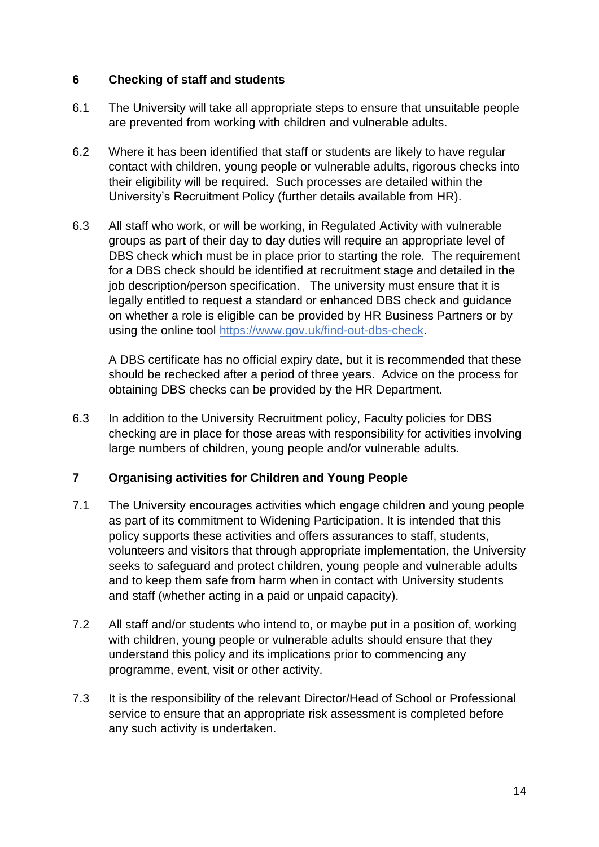### <span id="page-13-0"></span>**6 Checking of staff and students**

- 6.1 The University will take all appropriate steps to ensure that unsuitable people are prevented from working with children and vulnerable adults.
- 6.2 Where it has been identified that staff or students are likely to have regular contact with children, young people or vulnerable adults, rigorous checks into their eligibility will be required. Such processes are detailed within the University's Recruitment Policy (further details available from HR).
- 6.3 All staff who work, or will be working, in Regulated Activity with vulnerable groups as part of their day to day duties will require an appropriate level of DBS check which must be in place prior to starting the role. The requirement for a DBS check should be identified at recruitment stage and detailed in the job description/person specification. The university must ensure that it is legally entitled to request a standard or enhanced DBS check and guidance on whether a role is eligible can be provided by HR Business Partners or by using the online tool [https://www.gov.uk/find-out-dbs-check.](https://www.gov.uk/find-out-dbs-check)

A DBS certificate has no official expiry date, but it is recommended that these should be rechecked after a period of three years. Advice on the process for obtaining DBS checks can be provided by the HR Department.

6.3 In addition to the University Recruitment policy, Faculty policies for DBS checking are in place for those areas with responsibility for activities involving large numbers of children, young people and/or vulnerable adults.

### <span id="page-13-1"></span>**7 Organising activities for Children and Young People**

- 7.1 The University encourages activities which engage children and young people as part of its commitment to Widening Participation. It is intended that this policy supports these activities and offers assurances to staff, students, volunteers and visitors that through appropriate implementation, the University seeks to safeguard and protect children, young people and vulnerable adults and to keep them safe from harm when in contact with University students and staff (whether acting in a paid or unpaid capacity).
- 7.2 All staff and/or students who intend to, or maybe put in a position of, working with children, young people or vulnerable adults should ensure that they understand this policy and its implications prior to commencing any programme, event, visit or other activity.
- 7.3 It is the responsibility of the relevant Director/Head of School or Professional service to ensure that an appropriate risk assessment is completed before any such activity is undertaken.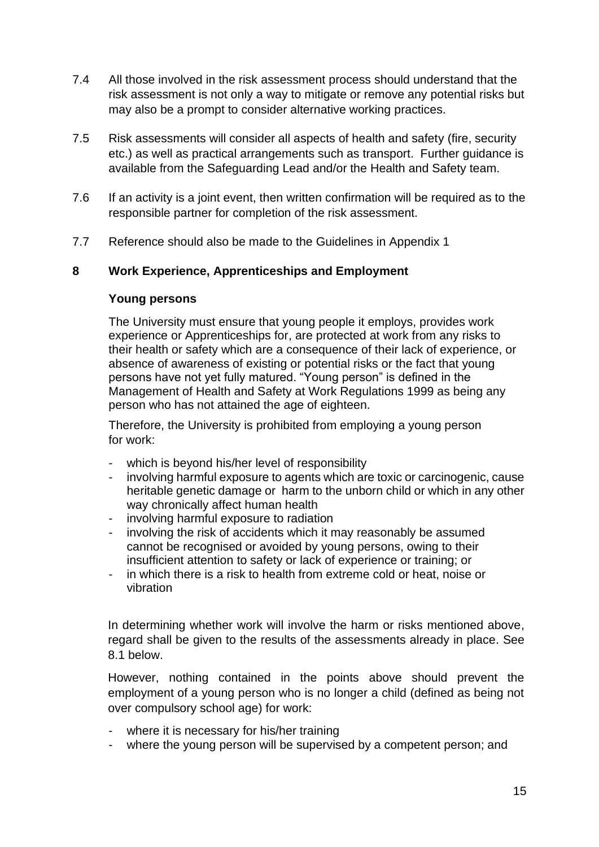- 7.4 All those involved in the risk assessment process should understand that the risk assessment is not only a way to mitigate or remove any potential risks but may also be a prompt to consider alternative working practices.
- 7.5 Risk assessments will consider all aspects of health and safety (fire, security etc.) as well as practical arrangements such as transport. Further guidance is available from the Safeguarding Lead and/or the Health and Safety team.
- 7.6 If an activity is a joint event, then written confirmation will be required as to the responsible partner for completion of the risk assessment.
- 7.7 Reference should also be made to the Guidelines in Appendix 1

### <span id="page-14-0"></span>**8 Work Experience, Apprenticeships and Employment**

#### **Young persons**

The University must ensure that young people it employs, provides work experience or Apprenticeships for, are protected at work from any risks to their health or safety which are a consequence of their lack of experience, or absence of awareness of existing or potential risks or the fact that young persons have not yet fully matured. "Young person" is defined in the Management of Health and Safety at Work Regulations 1999 as being any person who has not attained the age of eighteen.

Therefore, the University is prohibited from employing a young person for work:

- which is beyond his/her level of responsibility
- involving harmful exposure to agents which are toxic or carcinogenic, cause heritable genetic damage or harm to the unborn child or which in any other way chronically affect human health
- involving harmful exposure to radiation
- involving the risk of accidents which it may reasonably be assumed cannot be recognised or avoided by young persons, owing to their insufficient attention to safety or lack of experience or training; or
- in which there is a risk to health from extreme cold or heat, noise or vibration

In determining whether work will involve the harm or risks mentioned above, regard shall be given to the results of the assessments already in place. See 8.1 below.

However, nothing contained in the points above should prevent the employment of a young person who is no longer a child (defined as being not over compulsory school age) for work:

- where it is necessary for his/her training
- where the young person will be supervised by a competent person; and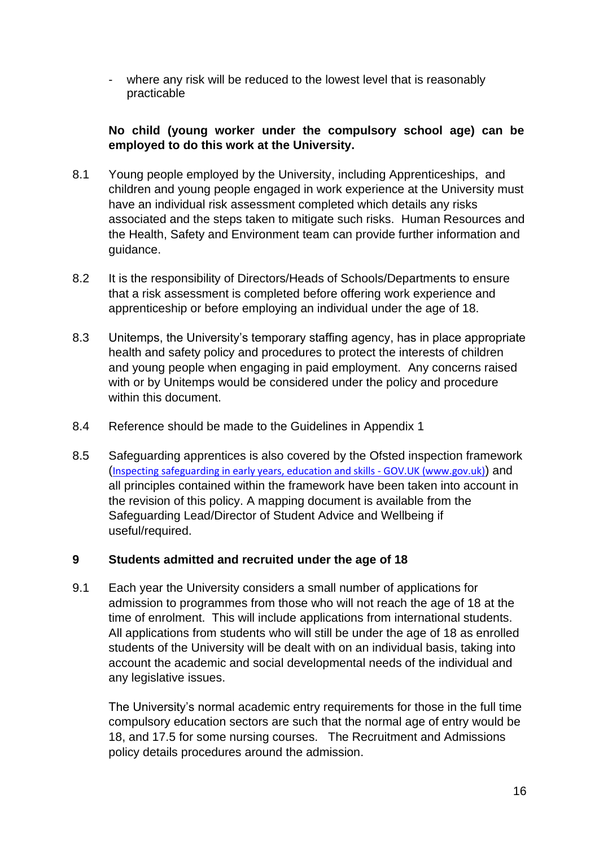where any risk will be reduced to the lowest level that is reasonably practicable

### **No child (young worker under the compulsory school age) can be employed to do this work at the University.**

- 8.1 Young people employed by the University, including Apprenticeships, and children and young people engaged in work experience at the University must have an individual risk assessment completed which details any risks associated and the steps taken to mitigate such risks. Human Resources and the Health, Safety and Environment team can provide further information and guidance.
- 8.2 It is the responsibility of Directors/Heads of Schools/Departments to ensure that a risk assessment is completed before offering work experience and apprenticeship or before employing an individual under the age of 18.
- 8.3 Unitemps, the University's temporary staffing agency, has in place appropriate health and safety policy and procedures to protect the interests of children and young people when engaging in paid employment. Any concerns raised with or by Unitemps would be considered under the policy and procedure within this document.
- 8.4 Reference should be made to the Guidelines in Appendix 1
- 8.5 Safeguarding apprentices is also covered by the Ofsted inspection framework ([Inspecting safeguarding in early years, education and skills -](https://www.gov.uk/government/publications/inspecting-safeguarding-in-early-years-education-and-skills/inspecting-safeguarding-in-early-years-education-and-skills) GOV.UK (www.gov.uk)) and all principles contained within the framework have been taken into account in the revision of this policy. A mapping document is available from the Safeguarding Lead/Director of Student Advice and Wellbeing if useful/required.

### <span id="page-15-0"></span>**9 Students admitted and recruited under the age of 18**

9.1 Each year the University considers a small number of applications for admission to programmes from those who will not reach the age of 18 at the time of enrolment. This will include applications from international students. All applications from students who will still be under the age of 18 as enrolled students of the University will be dealt with on an individual basis, taking into account the academic and social developmental needs of the individual and any legislative issues.

The University's normal academic entry requirements for those in the full time compulsory education sectors are such that the normal age of entry would be 18, and 17.5 for some nursing courses. The Recruitment and Admissions policy details procedures around the admission.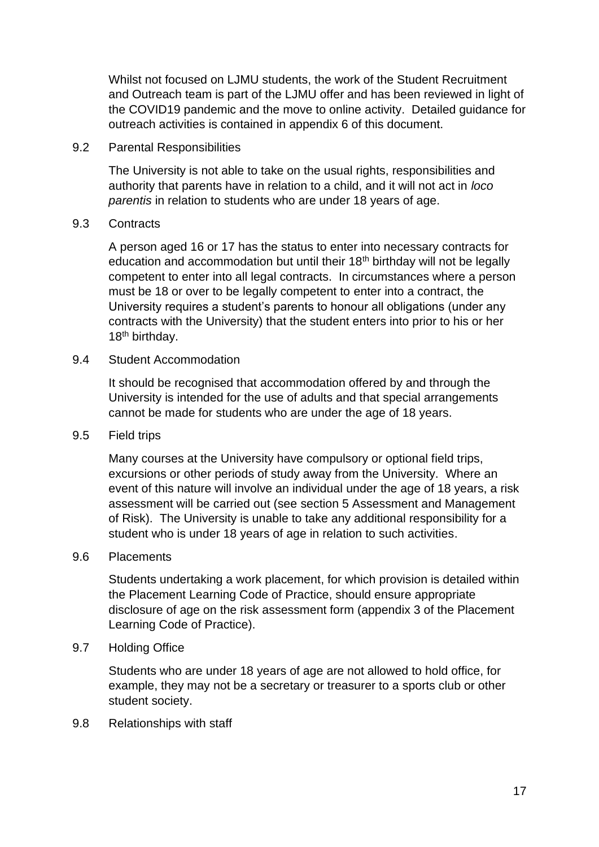Whilst not focused on LJMU students, the work of the Student Recruitment and Outreach team is part of the LJMU offer and has been reviewed in light of the COVID19 pandemic and the move to online activity. Detailed guidance for outreach activities is contained in appendix 6 of this document.

9.2 Parental Responsibilities

The University is not able to take on the usual rights, responsibilities and authority that parents have in relation to a child, and it will not act in *loco parentis* in relation to students who are under 18 years of age.

#### 9.3 Contracts

A person aged 16 or 17 has the status to enter into necessary contracts for education and accommodation but until their  $18<sup>th</sup>$  birthday will not be legally competent to enter into all legal contracts. In circumstances where a person must be 18 or over to be legally competent to enter into a contract, the University requires a student's parents to honour all obligations (under any contracts with the University) that the student enters into prior to his or her 18<sup>th</sup> birthday.

#### 9.4 Student Accommodation

It should be recognised that accommodation offered by and through the University is intended for the use of adults and that special arrangements cannot be made for students who are under the age of 18 years.

#### 9.5 Field trips

Many courses at the University have compulsory or optional field trips, excursions or other periods of study away from the University. Where an event of this nature will involve an individual under the age of 18 years, a risk assessment will be carried out (see section 5 Assessment and Management of Risk). The University is unable to take any additional responsibility for a student who is under 18 years of age in relation to such activities.

#### 9.6 Placements

Students undertaking a work placement, for which provision is detailed within the Placement Learning Code of Practice, should ensure appropriate disclosure of age on the risk assessment form (appendix 3 of the Placement Learning Code of Practice).

#### 9.7 Holding Office

Students who are under 18 years of age are not allowed to hold office, for example, they may not be a secretary or treasurer to a sports club or other student society.

#### 9.8 Relationships with staff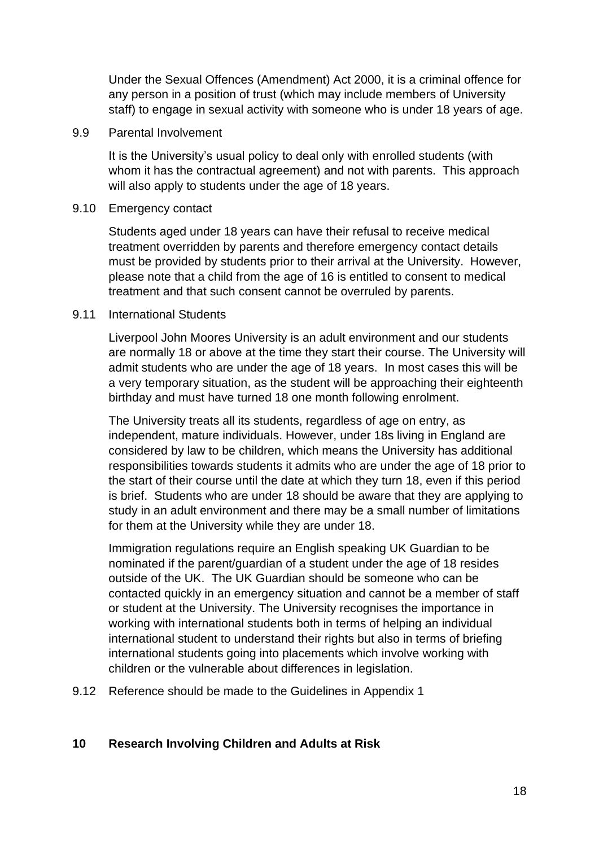Under the Sexual Offences (Amendment) Act 2000, it is a criminal offence for any person in a position of trust (which may include members of University staff) to engage in sexual activity with someone who is under 18 years of age.

#### 9.9 Parental Involvement

It is the University's usual policy to deal only with enrolled students (with whom it has the contractual agreement) and not with parents. This approach will also apply to students under the age of 18 years.

#### 9.10 Emergency contact

Students aged under 18 years can have their refusal to receive medical treatment overridden by parents and therefore emergency contact details must be provided by students prior to their arrival at the University. However, please note that a child from the age of 16 is entitled to consent to medical treatment and that such consent cannot be overruled by parents.

#### 9.11 International Students

Liverpool John Moores University is an adult environment and our students are normally 18 or above at the time they start their course. The University will admit students who are under the age of 18 years. In most cases this will be a very temporary situation, as the student will be approaching their eighteenth birthday and must have turned 18 one month following enrolment.

The University treats all its students, regardless of age on entry, as independent, mature individuals. However, under 18s living in England are considered by law to be children, which means the University has additional responsibilities towards students it admits who are under the age of 18 prior to the start of their course until the date at which they turn 18, even if this period is brief. Students who are under 18 should be aware that they are applying to study in an adult environment and there may be a small number of limitations for them at the University while they are under 18.

Immigration regulations require an English speaking UK Guardian to be nominated if the parent/guardian of a student under the age of 18 resides outside of the UK. The UK Guardian should be someone who can be contacted quickly in an emergency situation and cannot be a member of staff or student at the University. The University recognises the importance in working with international students both in terms of helping an individual international student to understand their rights but also in terms of briefing international students going into placements which involve working with children or the vulnerable about differences in legislation.

9.12 Reference should be made to the Guidelines in Appendix 1

### <span id="page-17-0"></span>**10 Research Involving Children and Adults at Risk**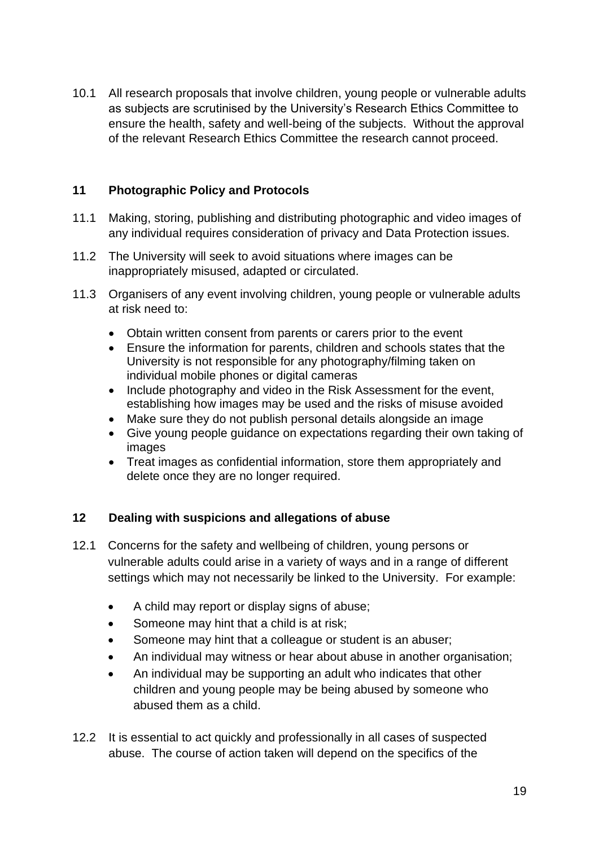10.1 All research proposals that involve children, young people or vulnerable adults as subjects are scrutinised by the University's Research Ethics Committee to ensure the health, safety and well-being of the subjects. Without the approval of the relevant Research Ethics Committee the research cannot proceed.

### <span id="page-18-0"></span>**11 Photographic Policy and Protocols**

- 11.1 Making, storing, publishing and distributing photographic and video images of any individual requires consideration of privacy and Data Protection issues.
- 11.2 The University will seek to avoid situations where images can be inappropriately misused, adapted or circulated.
- 11.3 Organisers of any event involving children, young people or vulnerable adults at risk need to:
	- Obtain written consent from parents or carers prior to the event
	- Ensure the information for parents, children and schools states that the University is not responsible for any photography/filming taken on individual mobile phones or digital cameras
	- Include photography and video in the Risk Assessment for the event, establishing how images may be used and the risks of misuse avoided
	- Make sure they do not publish personal details alongside an image
	- Give young people guidance on expectations regarding their own taking of images
	- Treat images as confidential information, store them appropriately and delete once they are no longer required.

### <span id="page-18-1"></span>**12 Dealing with suspicions and allegations of abuse**

- 12.1 Concerns for the safety and wellbeing of children, young persons or vulnerable adults could arise in a variety of ways and in a range of different settings which may not necessarily be linked to the University. For example:
	- A child may report or display signs of abuse;
	- Someone may hint that a child is at risk;
	- Someone may hint that a colleague or student is an abuser;
	- An individual may witness or hear about abuse in another organisation;
	- An individual may be supporting an adult who indicates that other children and young people may be being abused by someone who abused them as a child.
- 12.2 It is essential to act quickly and professionally in all cases of suspected abuse. The course of action taken will depend on the specifics of the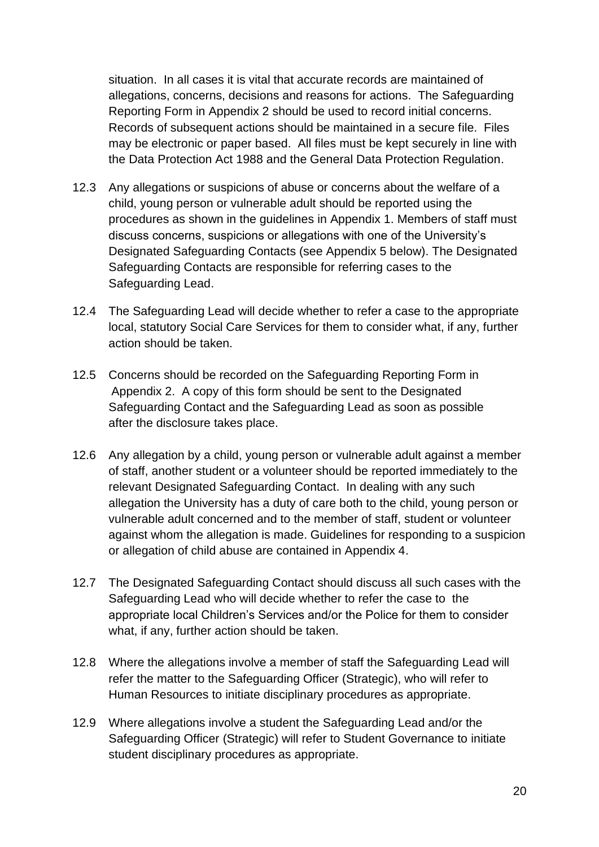situation. In all cases it is vital that accurate records are maintained of allegations, concerns, decisions and reasons for actions. The Safeguarding Reporting Form in Appendix 2 should be used to record initial concerns. Records of subsequent actions should be maintained in a secure file. Files may be electronic or paper based. All files must be kept securely in line with the Data Protection Act 1988 and the General Data Protection Regulation.

- 12.3 Any allegations or suspicions of abuse or concerns about the welfare of a child, young person or vulnerable adult should be reported using the procedures as shown in the guidelines in Appendix 1. Members of staff must discuss concerns, suspicions or allegations with one of the University's Designated Safeguarding Contacts (see Appendix 5 below). The Designated Safeguarding Contacts are responsible for referring cases to the Safeguarding Lead.
- 12.4 The Safeguarding Lead will decide whether to refer a case to the appropriate local, statutory Social Care Services for them to consider what, if any, further action should be taken.
- 12.5 Concerns should be recorded on the Safeguarding Reporting Form in Appendix 2. A copy of this form should be sent to the Designated Safeguarding Contact and the Safeguarding Lead as soon as possible after the disclosure takes place.
- 12.6 Any allegation by a child, young person or vulnerable adult against a member of staff, another student or a volunteer should be reported immediately to the relevant Designated Safeguarding Contact. In dealing with any such allegation the University has a duty of care both to the child, young person or vulnerable adult concerned and to the member of staff, student or volunteer against whom the allegation is made. Guidelines for responding to a suspicion or allegation of child abuse are contained in Appendix 4.
- 12.7 The Designated Safeguarding Contact should discuss all such cases with the Safeguarding Lead who will decide whether to refer the case to the appropriate local Children's Services and/or the Police for them to consider what, if any, further action should be taken.
- 12.8 Where the allegations involve a member of staff the Safeguarding Lead will refer the matter to the Safeguarding Officer (Strategic), who will refer to Human Resources to initiate disciplinary procedures as appropriate.
- 12.9 Where allegations involve a student the Safeguarding Lead and/or the Safeguarding Officer (Strategic) will refer to Student Governance to initiate student disciplinary procedures as appropriate.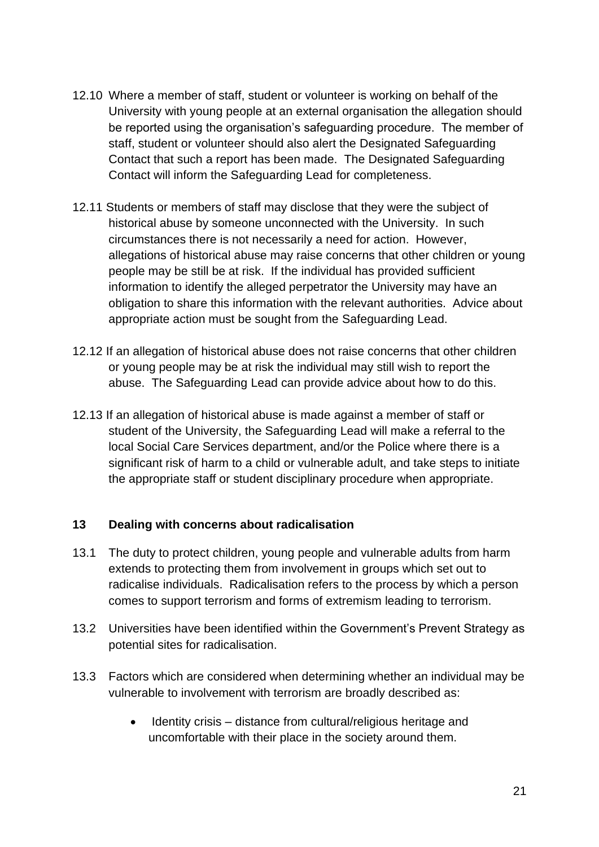- 12.10 Where a member of staff, student or volunteer is working on behalf of the University with young people at an external organisation the allegation should be reported using the organisation's safeguarding procedure. The member of staff, student or volunteer should also alert the Designated Safeguarding Contact that such a report has been made. The Designated Safeguarding Contact will inform the Safeguarding Lead for completeness.
- 12.11 Students or members of staff may disclose that they were the subject of historical abuse by someone unconnected with the University. In such circumstances there is not necessarily a need for action. However, allegations of historical abuse may raise concerns that other children or young people may be still be at risk. If the individual has provided sufficient information to identify the alleged perpetrator the University may have an obligation to share this information with the relevant authorities. Advice about appropriate action must be sought from the Safeguarding Lead.
- 12.12 If an allegation of historical abuse does not raise concerns that other children or young people may be at risk the individual may still wish to report the abuse. The Safeguarding Lead can provide advice about how to do this.
- 12.13 If an allegation of historical abuse is made against a member of staff or student of the University, the Safeguarding Lead will make a referral to the local Social Care Services department, and/or the Police where there is a significant risk of harm to a child or vulnerable adult, and take steps to initiate the appropriate staff or student disciplinary procedure when appropriate.

#### <span id="page-20-0"></span>**13 Dealing with concerns about radicalisation**

- 13.1 The duty to protect children, young people and vulnerable adults from harm extends to protecting them from involvement in groups which set out to radicalise individuals. Radicalisation refers to the process by which a person comes to support terrorism and forms of extremism leading to terrorism.
- 13.2 Universities have been identified within the Government's Prevent Strategy as potential sites for radicalisation.
- 13.3 Factors which are considered when determining whether an individual may be vulnerable to involvement with terrorism are broadly described as:
	- Identity crisis distance from cultural/religious heritage and uncomfortable with their place in the society around them.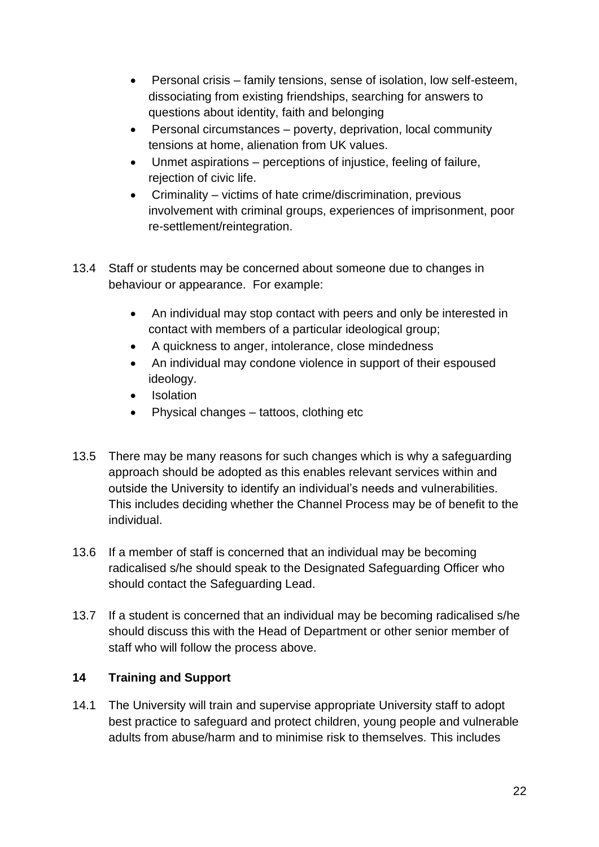- Personal crisis family tensions, sense of isolation, low self-esteem, dissociating from existing friendships, searching for answers to questions about identity, faith and belonging
- Personal circumstances poverty, deprivation, local community tensions at home, alienation from UK values.
- Unmet aspirations perceptions of injustice, feeling of failure, rejection of civic life.
- Criminality victims of hate crime/discrimination, previous involvement with criminal groups, experiences of imprisonment, poor re-settlement/reintegration.
- 13.4 Staff or students may be concerned about someone due to changes in behaviour or appearance. For example:
	- An individual may stop contact with peers and only be interested in contact with members of a particular ideological group;
	- A quickness to anger, intolerance, close mindedness
	- An individual may condone violence in support of their espoused ideology.
	- **Isolation**
	- Physical changes tattoos, clothing etc
- 13.5 There may be many reasons for such changes which is why a safeguarding approach should be adopted as this enables relevant services within and outside the University to identify an individual's needs and vulnerabilities. This includes deciding whether the Channel Process may be of benefit to the individual.
- 13.6 If a member of staff is concerned that an individual may be becoming radicalised s/he should speak to the Designated Safeguarding Officer who should contact the Safeguarding Lead.
- 13.7 If a student is concerned that an individual may be becoming radicalised s/he should discuss this with the Head of Department or other senior member of staff who will follow the process above.

# <span id="page-21-0"></span>**14 Training and Support**

14.1 The University will train and supervise appropriate University staff to adopt best practice to safeguard and protect children, young people and vulnerable adults from abuse/harm and to minimise risk to themselves. This includes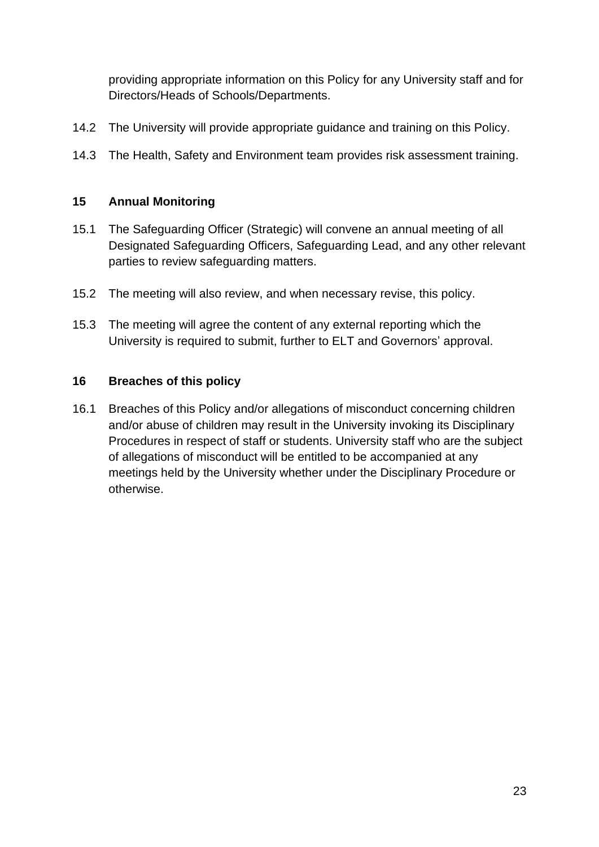providing appropriate information on this Policy for any University staff and for Directors/Heads of Schools/Departments.

- 14.2 The University will provide appropriate guidance and training on this Policy.
- 14.3 The Health, Safety and Environment team provides risk assessment training.

## <span id="page-22-0"></span>**15 Annual Monitoring**

- 15.1 The Safeguarding Officer (Strategic) will convene an annual meeting of all Designated Safeguarding Officers, Safeguarding Lead, and any other relevant parties to review safeguarding matters.
- 15.2 The meeting will also review, and when necessary revise, this policy.
- 15.3 The meeting will agree the content of any external reporting which the University is required to submit, further to ELT and Governors' approval.

### <span id="page-22-1"></span>**16 Breaches of this policy**

16.1 Breaches of this Policy and/or allegations of misconduct concerning children and/or abuse of children may result in the University invoking its Disciplinary Procedures in respect of staff or students. University staff who are the subject of allegations of misconduct will be entitled to be accompanied at any meetings held by the University whether under the Disciplinary Procedure or otherwise.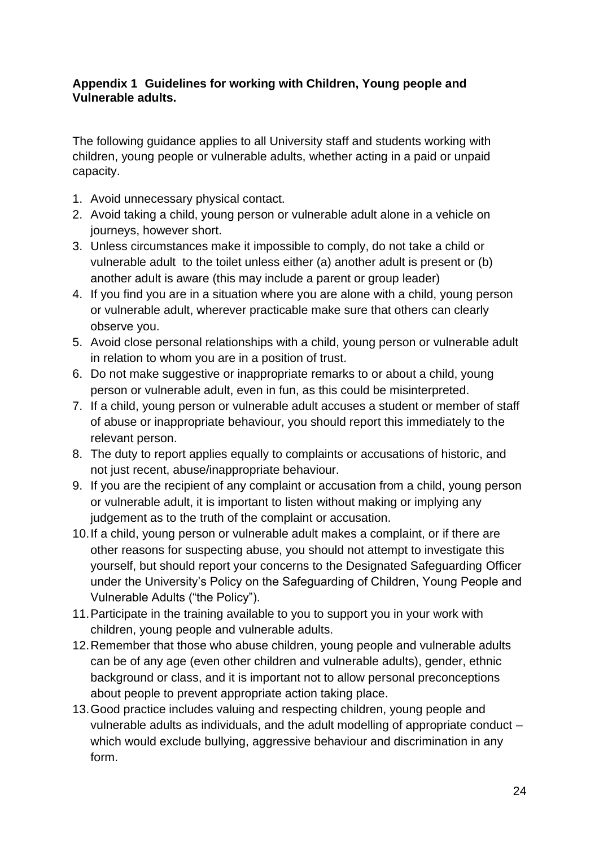### <span id="page-23-0"></span>**Appendix 1 Guidelines for working with Children, Young people and Vulnerable adults.**

The following guidance applies to all University staff and students working with children, young people or vulnerable adults, whether acting in a paid or unpaid capacity.

- 1. Avoid unnecessary physical contact.
- 2. Avoid taking a child, young person or vulnerable adult alone in a vehicle on journeys, however short.
- 3. Unless circumstances make it impossible to comply, do not take a child or vulnerable adult to the toilet unless either (a) another adult is present or (b) another adult is aware (this may include a parent or group leader)
- 4. If you find you are in a situation where you are alone with a child, young person or vulnerable adult, wherever practicable make sure that others can clearly observe you.
- 5. Avoid close personal relationships with a child, young person or vulnerable adult in relation to whom you are in a position of trust.
- 6. Do not make suggestive or inappropriate remarks to or about a child, young person or vulnerable adult, even in fun, as this could be misinterpreted.
- 7. If a child, young person or vulnerable adult accuses a student or member of staff of abuse or inappropriate behaviour, you should report this immediately to the relevant person.
- 8. The duty to report applies equally to complaints or accusations of historic, and not just recent, abuse/inappropriate behaviour.
- 9. If you are the recipient of any complaint or accusation from a child, young person or vulnerable adult, it is important to listen without making or implying any judgement as to the truth of the complaint or accusation.
- 10.If a child, young person or vulnerable adult makes a complaint, or if there are other reasons for suspecting abuse, you should not attempt to investigate this yourself, but should report your concerns to the Designated Safeguarding Officer under the University's Policy on the Safeguarding of Children, Young People and Vulnerable Adults ("the Policy").
- 11.Participate in the training available to you to support you in your work with children, young people and vulnerable adults.
- 12.Remember that those who abuse children, young people and vulnerable adults can be of any age (even other children and vulnerable adults), gender, ethnic background or class, and it is important not to allow personal preconceptions about people to prevent appropriate action taking place.
- 13.Good practice includes valuing and respecting children, young people and vulnerable adults as individuals, and the adult modelling of appropriate conduct – which would exclude bullying, aggressive behaviour and discrimination in any form.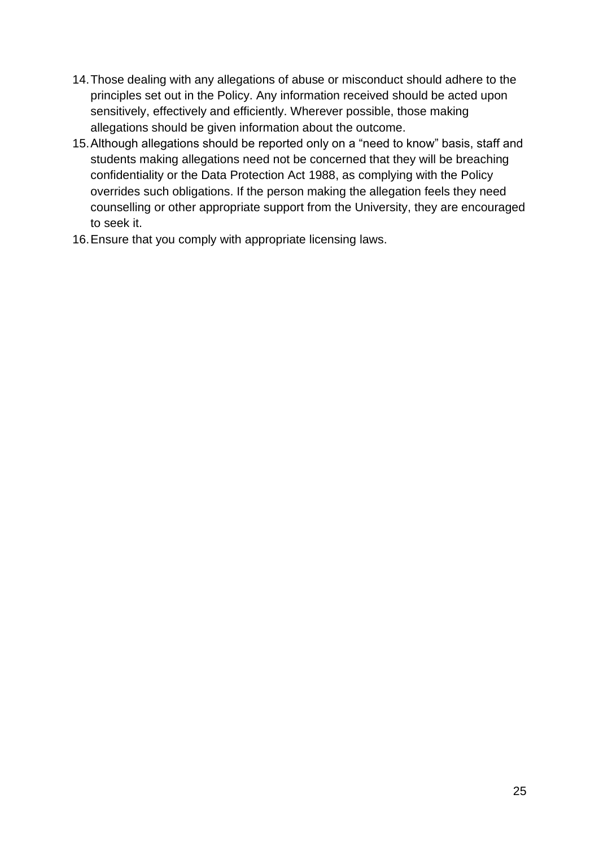- 14.Those dealing with any allegations of abuse or misconduct should adhere to the principles set out in the Policy. Any information received should be acted upon sensitively, effectively and efficiently. Wherever possible, those making allegations should be given information about the outcome.
- 15.Although allegations should be reported only on a "need to know" basis, staff and students making allegations need not be concerned that they will be breaching confidentiality or the Data Protection Act 1988, as complying with the Policy overrides such obligations. If the person making the allegation feels they need counselling or other appropriate support from the University, they are encouraged to seek it.
- 16.Ensure that you comply with appropriate licensing laws.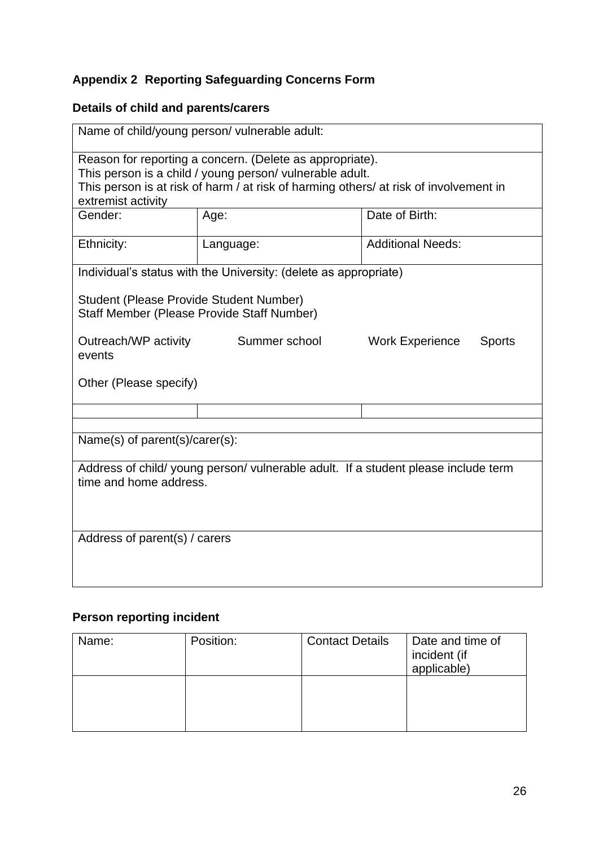# <span id="page-25-0"></span>**Appendix 2 Reporting Safeguarding Concerns Form**

# **Details of child and parents/carers**

| Name of child/young person/ vulnerable adult:                                                                                                                                                                                       |                                                                  |                                         |  |  |
|-------------------------------------------------------------------------------------------------------------------------------------------------------------------------------------------------------------------------------------|------------------------------------------------------------------|-----------------------------------------|--|--|
| Reason for reporting a concern. (Delete as appropriate).<br>This person is a child / young person/ vulnerable adult.<br>This person is at risk of harm / at risk of harming others/ at risk of involvement in<br>extremist activity |                                                                  |                                         |  |  |
| Gender:                                                                                                                                                                                                                             | Age:                                                             | Date of Birth:                          |  |  |
| Ethnicity:                                                                                                                                                                                                                          | Language:                                                        | <b>Additional Needs:</b>                |  |  |
|                                                                                                                                                                                                                                     | Individual's status with the University: (delete as appropriate) |                                         |  |  |
| Student (Please Provide Student Number)<br>Staff Member (Please Provide Staff Number)                                                                                                                                               |                                                                  |                                         |  |  |
| Outreach/WP activity<br>events                                                                                                                                                                                                      | Summer school                                                    | <b>Work Experience</b><br><b>Sports</b> |  |  |
| Other (Please specify)                                                                                                                                                                                                              |                                                                  |                                         |  |  |
|                                                                                                                                                                                                                                     |                                                                  |                                         |  |  |
| Name(s) of parent(s)/carer(s):                                                                                                                                                                                                      |                                                                  |                                         |  |  |
| Address of child/ young person/ vulnerable adult. If a student please include term<br>time and home address.                                                                                                                        |                                                                  |                                         |  |  |
| Address of parent(s) / carers                                                                                                                                                                                                       |                                                                  |                                         |  |  |

# **Person reporting incident**

| Name: | Position: | <b>Contact Details</b> | Date and time of<br>incident (if<br>applicable) |
|-------|-----------|------------------------|-------------------------------------------------|
|       |           |                        |                                                 |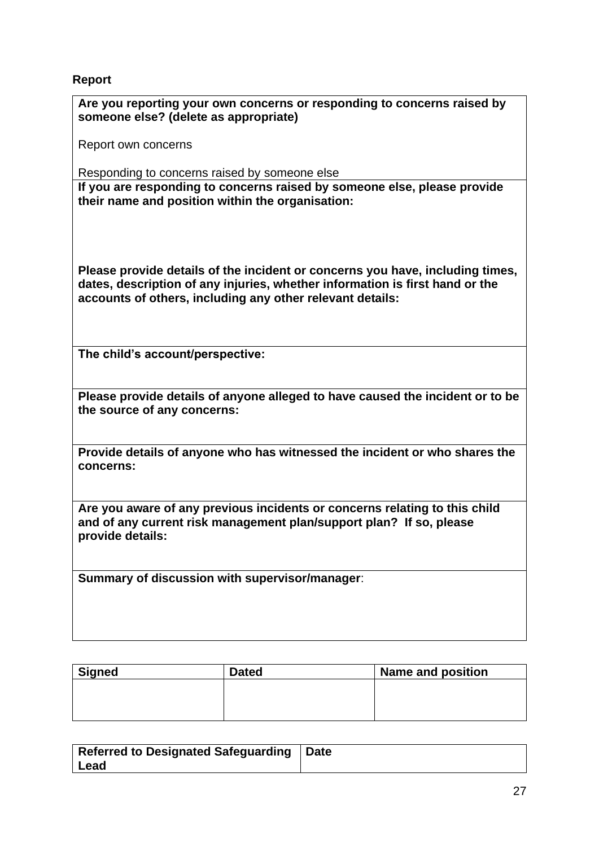## **Report**

| INUPUL                                                                                                                                                                                                                     |
|----------------------------------------------------------------------------------------------------------------------------------------------------------------------------------------------------------------------------|
| Are you reporting your own concerns or responding to concerns raised by<br>someone else? (delete as appropriate)                                                                                                           |
| Report own concerns                                                                                                                                                                                                        |
| Responding to concerns raised by someone else                                                                                                                                                                              |
| If you are responding to concerns raised by someone else, please provide<br>their name and position within the organisation:                                                                                               |
| Please provide details of the incident or concerns you have, including times,<br>dates, description of any injuries, whether information is first hand or the<br>accounts of others, including any other relevant details: |
| The child's account/perspective:                                                                                                                                                                                           |
| Please provide details of anyone alleged to have caused the incident or to be<br>the source of any concerns:                                                                                                               |
| Provide details of anyone who has witnessed the incident or who shares the<br>concerns:                                                                                                                                    |
| Are you aware of any previous incidents or concerns relating to this child<br>and of any current risk management plan/support plan? If so, please<br>provide details:                                                      |
| Summary of discussion with supervisor/manager:                                                                                                                                                                             |

| <b>Signed</b> | <b>Dated</b> | Name and position |
|---------------|--------------|-------------------|
|               |              |                   |
|               |              |                   |
|               |              |                   |

| Referred to Designated Safeguarding   Date |  |
|--------------------------------------------|--|
| ∣ Lead                                     |  |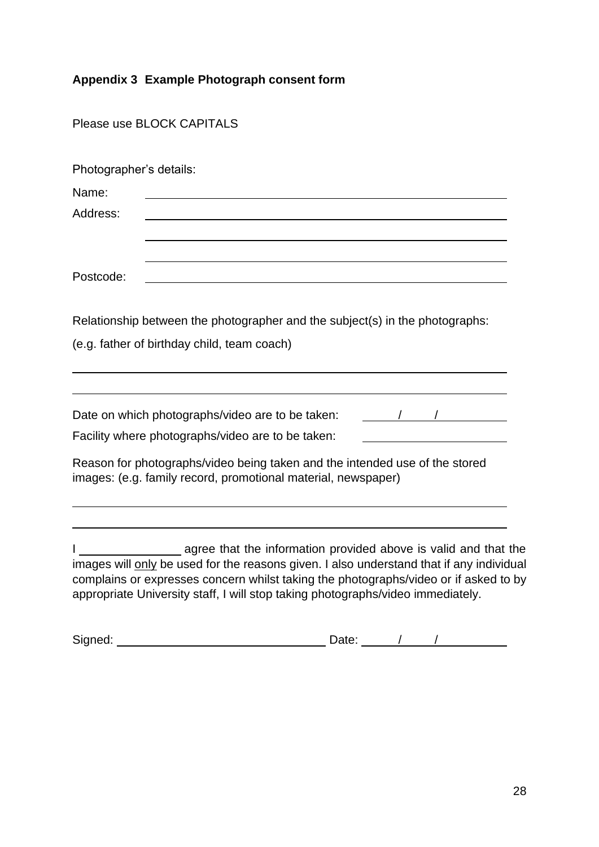# <span id="page-27-0"></span>**Appendix 3 Example Photograph consent form**

Please use BLOCK CAPITALS

| Photographer's details:                                                                                                                                                                                                                                                                                                                                                 |
|-------------------------------------------------------------------------------------------------------------------------------------------------------------------------------------------------------------------------------------------------------------------------------------------------------------------------------------------------------------------------|
| Name:                                                                                                                                                                                                                                                                                                                                                                   |
| Address:                                                                                                                                                                                                                                                                                                                                                                |
|                                                                                                                                                                                                                                                                                                                                                                         |
| Postcode:                                                                                                                                                                                                                                                                                                                                                               |
| Relationship between the photographer and the subject(s) in the photographs:<br>(e.g. father of birthday child, team coach)                                                                                                                                                                                                                                             |
|                                                                                                                                                                                                                                                                                                                                                                         |
| Date on which photographs/video are to be taken:<br>$\frac{1}{2}$ $\frac{1}{2}$ $\frac{1}{2}$ $\frac{1}{2}$ $\frac{1}{2}$ $\frac{1}{2}$ $\frac{1}{2}$ $\frac{1}{2}$ $\frac{1}{2}$ $\frac{1}{2}$ $\frac{1}{2}$ $\frac{1}{2}$ $\frac{1}{2}$ $\frac{1}{2}$ $\frac{1}{2}$ $\frac{1}{2}$ $\frac{1}{2}$ $\frac{1}{2}$ $\frac{1}{2}$ $\frac{1}{2}$ $\frac{1}{2}$ $\frac{1}{2}$ |
| Facility where photographs/video are to be taken:                                                                                                                                                                                                                                                                                                                       |
| Reason for photographs/video being taken and the intended use of the stored<br>images: (e.g. family record, promotional material, newspaper)                                                                                                                                                                                                                            |
| agree that the information provided above is valid and that the                                                                                                                                                                                                                                                                                                         |
| images will only be used for the reasons given. I also understand that if any individual<br>complains or expresses concern whilst taking the photographs/video or if asked to by<br>appropriate University staff, I will stop taking photographs/video immediately.                                                                                                     |

| Signed: | $-1-$ |  |  |
|---------|-------|--|--|
|         |       |  |  |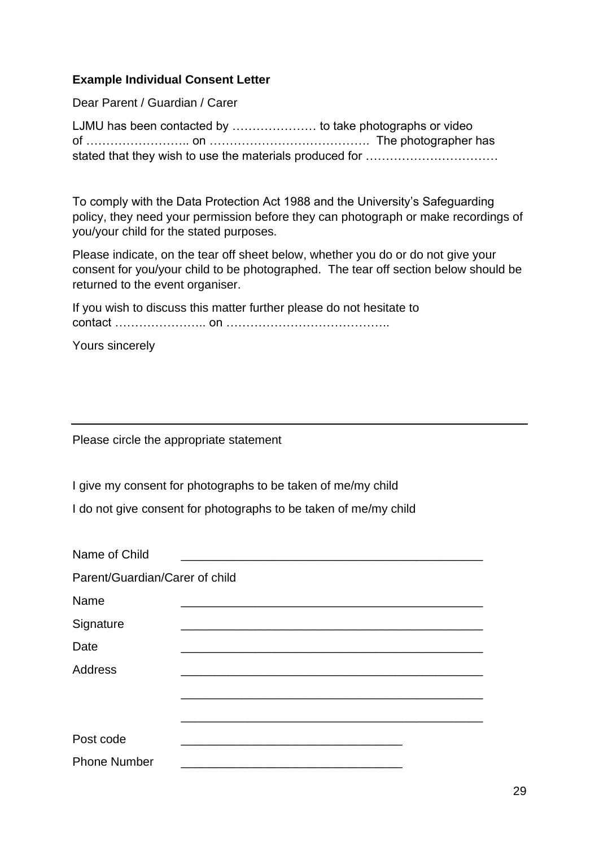### **Example Individual Consent Letter**

Dear Parent / Guardian / Carer

LJMU has been contacted by ………………… to take photographs or video of …………………….. on …………………………………. The photographer has stated that they wish to use the materials produced for ...............................

To comply with the Data Protection Act 1988 and the University's Safeguarding policy, they need your permission before they can photograph or make recordings of you/your child for the stated purposes.

Please indicate, on the tear off sheet below, whether you do or do not give your consent for you/your child to be photographed. The tear off section below should be returned to the event organiser.

If you wish to discuss this matter further please do not hesitate to contact ………………….. on …………………………………..

Yours sincerely

Please circle the appropriate statement

I give my consent for photographs to be taken of me/my child

I do not give consent for photographs to be taken of me/my child

| Name of Child                  |  |  |  |  |
|--------------------------------|--|--|--|--|
| Parent/Guardian/Carer of child |  |  |  |  |
| Name                           |  |  |  |  |
| Signature                      |  |  |  |  |
| Date                           |  |  |  |  |
| <b>Address</b>                 |  |  |  |  |
|                                |  |  |  |  |
|                                |  |  |  |  |
| Post code                      |  |  |  |  |
| <b>Phone Number</b>            |  |  |  |  |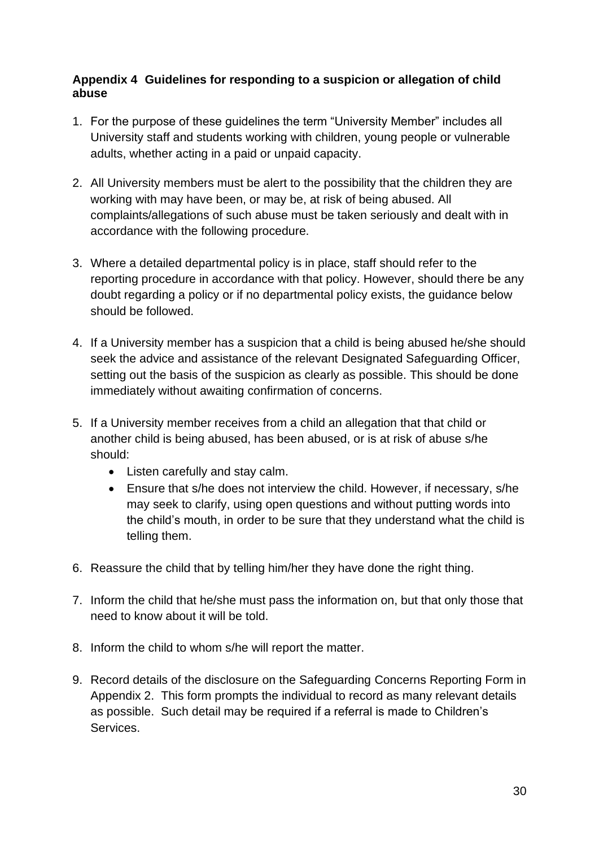## <span id="page-29-0"></span>**Appendix 4 Guidelines for responding to a suspicion or allegation of child abuse**

- 1. For the purpose of these guidelines the term "University Member" includes all University staff and students working with children, young people or vulnerable adults, whether acting in a paid or unpaid capacity.
- 2. All University members must be alert to the possibility that the children they are working with may have been, or may be, at risk of being abused. All complaints/allegations of such abuse must be taken seriously and dealt with in accordance with the following procedure.
- 3. Where a detailed departmental policy is in place, staff should refer to the reporting procedure in accordance with that policy. However, should there be any doubt regarding a policy or if no departmental policy exists, the guidance below should be followed.
- 4. If a University member has a suspicion that a child is being abused he/she should seek the advice and assistance of the relevant Designated Safeguarding Officer, setting out the basis of the suspicion as clearly as possible. This should be done immediately without awaiting confirmation of concerns.
- 5. If a University member receives from a child an allegation that that child or another child is being abused, has been abused, or is at risk of abuse s/he should:
	- Listen carefully and stay calm.
	- Ensure that s/he does not interview the child. However, if necessary, s/he may seek to clarify, using open questions and without putting words into the child's mouth, in order to be sure that they understand what the child is telling them.
- 6. Reassure the child that by telling him/her they have done the right thing.
- 7. Inform the child that he/she must pass the information on, but that only those that need to know about it will be told.
- 8. Inform the child to whom s/he will report the matter.
- 9. Record details of the disclosure on the Safeguarding Concerns Reporting Form in Appendix 2. This form prompts the individual to record as many relevant details as possible. Such detail may be required if a referral is made to Children's Services.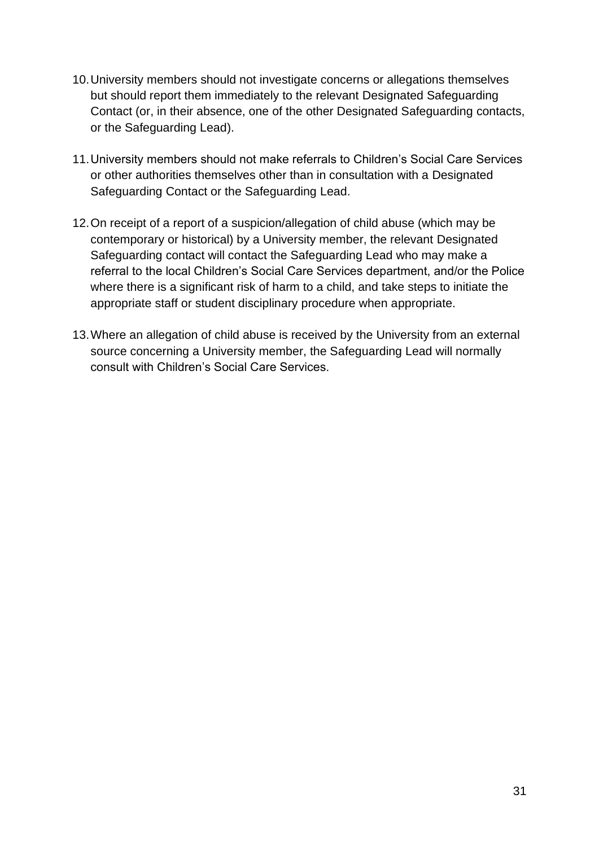- 10.University members should not investigate concerns or allegations themselves but should report them immediately to the relevant Designated Safeguarding Contact (or, in their absence, one of the other Designated Safeguarding contacts, or the Safeguarding Lead).
- 11.University members should not make referrals to Children's Social Care Services or other authorities themselves other than in consultation with a Designated Safeguarding Contact or the Safeguarding Lead.
- 12.On receipt of a report of a suspicion/allegation of child abuse (which may be contemporary or historical) by a University member, the relevant Designated Safeguarding contact will contact the Safeguarding Lead who may make a referral to the local Children's Social Care Services department, and/or the Police where there is a significant risk of harm to a child, and take steps to initiate the appropriate staff or student disciplinary procedure when appropriate.
- 13.Where an allegation of child abuse is received by the University from an external source concerning a University member, the Safeguarding Lead will normally consult with Children's Social Care Services.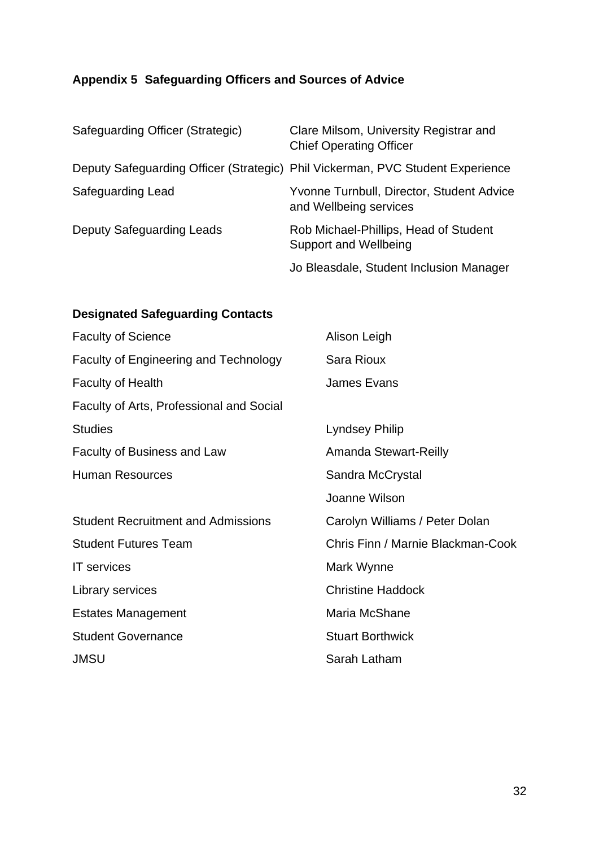# <span id="page-31-0"></span>**Appendix 5 Safeguarding Officers and Sources of Advice**

| Safeguarding Officer (Strategic) | Clare Milsom, University Registrar and<br><b>Chief Operating Officer</b>       |
|----------------------------------|--------------------------------------------------------------------------------|
|                                  | Deputy Safeguarding Officer (Strategic) Phil Vickerman, PVC Student Experience |
| Safeguarding Lead                | Yvonne Turnbull, Director, Student Advice<br>and Wellbeing services            |
| Deputy Safeguarding Leads        | Rob Michael-Phillips, Head of Student<br>Support and Wellbeing                 |
|                                  | Jo Bleasdale, Student Inclusion Manager                                        |

# **Designated Safeguarding Contacts**

| <b>Faculty of Science</b>                    | Alison Leigh                      |
|----------------------------------------------|-----------------------------------|
| <b>Faculty of Engineering and Technology</b> | <b>Sara Rioux</b>                 |
| <b>Faculty of Health</b>                     | <b>James Evans</b>                |
| Faculty of Arts, Professional and Social     |                                   |
| <b>Studies</b>                               | <b>Lyndsey Philip</b>             |
| <b>Faculty of Business and Law</b>           | <b>Amanda Stewart-Reilly</b>      |
| <b>Human Resources</b>                       | Sandra McCrystal                  |
|                                              | Joanne Wilson                     |
| <b>Student Recruitment and Admissions</b>    | Carolyn Williams / Peter Dolan    |
| <b>Student Futures Team</b>                  | Chris Finn / Marnie Blackman-Cook |
| <b>IT</b> services                           | Mark Wynne                        |
| Library services                             | <b>Christine Haddock</b>          |
| <b>Estates Management</b>                    | Maria McShane                     |
| <b>Student Governance</b>                    | <b>Stuart Borthwick</b>           |
| <b>JMSU</b>                                  | Sarah Latham                      |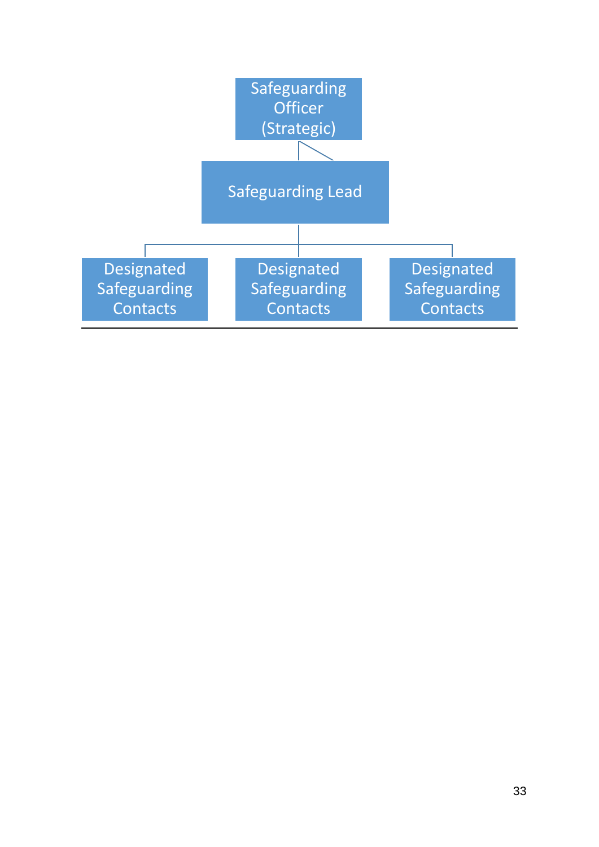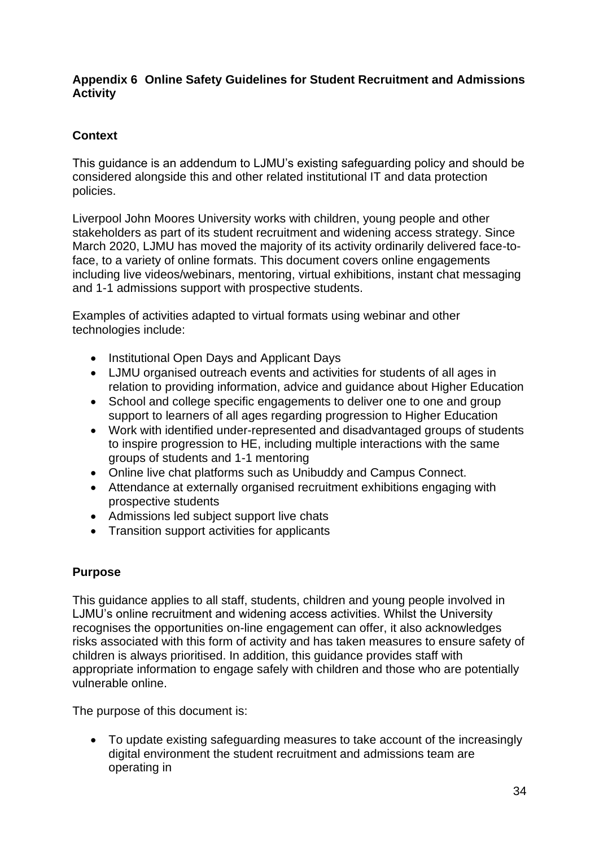### <span id="page-33-0"></span>**Appendix 6 Online Safety Guidelines for Student Recruitment and Admissions Activity**

# **Context**

This guidance is an addendum to LJMU's existing safeguarding policy and should be considered alongside this and other related institutional IT and data protection policies.

Liverpool John Moores University works with children, young people and other stakeholders as part of its student recruitment and widening access strategy. Since March 2020, LJMU has moved the majority of its activity ordinarily delivered face-toface, to a variety of online formats. This document covers online engagements including live videos/webinars, mentoring, virtual exhibitions, instant chat messaging and 1-1 admissions support with prospective students.

Examples of activities adapted to virtual formats using webinar and other technologies include:

- Institutional Open Days and Applicant Days
- LJMU organised outreach events and activities for students of all ages in relation to providing information, advice and guidance about Higher Education
- School and college specific engagements to deliver one to one and group support to learners of all ages regarding progression to Higher Education
- Work with identified under-represented and disadvantaged groups of students to inspire progression to HE, including multiple interactions with the same groups of students and 1-1 mentoring
- Online live chat platforms such as Unibuddy and Campus Connect.
- Attendance at externally organised recruitment exhibitions engaging with prospective students
- Admissions led subject support live chats
- Transition support activities for applicants

# **Purpose**

This guidance applies to all staff, students, children and young people involved in LJMU's online recruitment and widening access activities. Whilst the University recognises the opportunities on-line engagement can offer, it also acknowledges risks associated with this form of activity and has taken measures to ensure safety of children is always prioritised. In addition, this guidance provides staff with appropriate information to engage safely with children and those who are potentially vulnerable online.

The purpose of this document is:

• To update existing safeguarding measures to take account of the increasingly digital environment the student recruitment and admissions team are operating in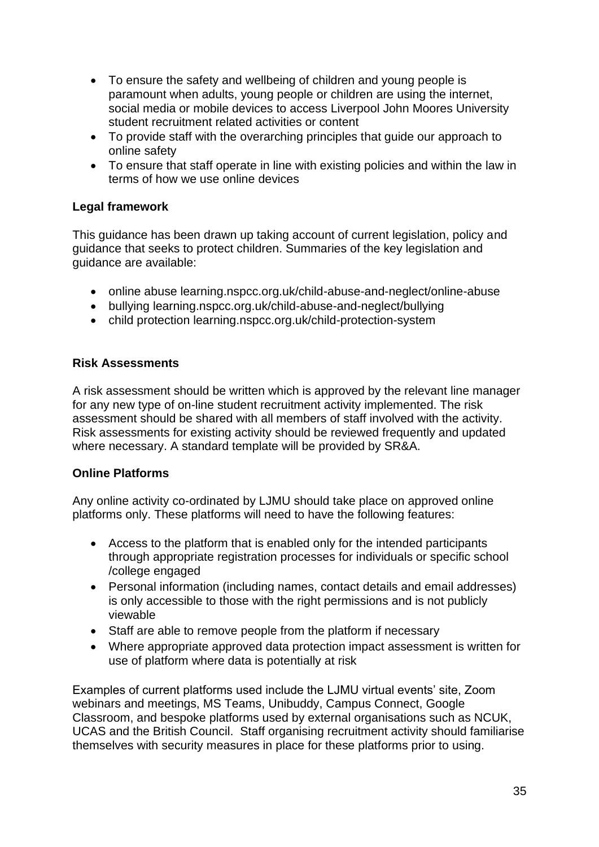- To ensure the safety and wellbeing of children and young people is paramount when adults, young people or children are using the internet, social media or mobile devices to access Liverpool John Moores University student recruitment related activities or content
- To provide staff with the overarching principles that guide our approach to online safety
- To ensure that staff operate in line with existing policies and within the law in terms of how we use online devices

### **Legal framework**

This guidance has been drawn up taking account of current legislation, policy and guidance that seeks to protect children. Summaries of the key legislation and guidance are available:

- online abuse learning.nspcc.org.uk/child-abuse-and-neglect/online-abuse
- bullying learning.nspcc.org.uk/child-abuse-and-neglect/bullying
- child protection learning.nspcc.org.uk/child-protection-system

### **Risk Assessments**

A risk assessment should be written which is approved by the relevant line manager for any new type of on-line student recruitment activity implemented. The risk assessment should be shared with all members of staff involved with the activity. Risk assessments for existing activity should be reviewed frequently and updated where necessary. A standard template will be provided by SR&A.

### **Online Platforms**

Any online activity co-ordinated by LJMU should take place on approved online platforms only. These platforms will need to have the following features:

- Access to the platform that is enabled only for the intended participants through appropriate registration processes for individuals or specific school /college engaged
- Personal information (including names, contact details and email addresses) is only accessible to those with the right permissions and is not publicly viewable
- Staff are able to remove people from the platform if necessary
- Where appropriate approved data protection impact assessment is written for use of platform where data is potentially at risk

Examples of current platforms used include the LJMU virtual events' site, Zoom webinars and meetings, MS Teams, Unibuddy, Campus Connect, Google Classroom, and bespoke platforms used by external organisations such as NCUK, UCAS and the British Council. Staff organising recruitment activity should familiarise themselves with security measures in place for these platforms prior to using.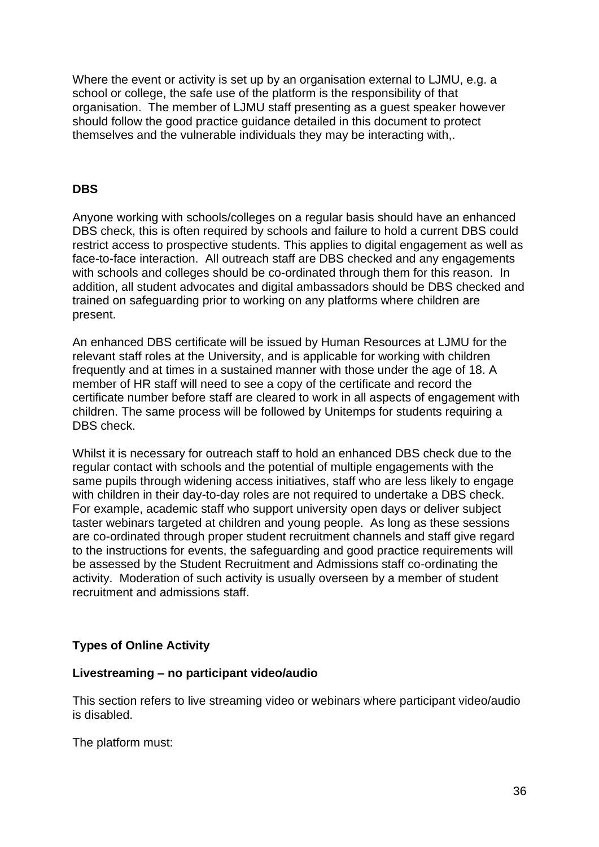Where the event or activity is set up by an organisation external to LJMU, e.g. a school or college, the safe use of the platform is the responsibility of that organisation. The member of LJMU staff presenting as a guest speaker however should follow the good practice guidance detailed in this document to protect themselves and the vulnerable individuals they may be interacting with,.

#### **DBS**

Anyone working with schools/colleges on a regular basis should have an enhanced DBS check, this is often required by schools and failure to hold a current DBS could restrict access to prospective students. This applies to digital engagement as well as face-to-face interaction. All outreach staff are DBS checked and any engagements with schools and colleges should be co-ordinated through them for this reason. In addition, all student advocates and digital ambassadors should be DBS checked and trained on safeguarding prior to working on any platforms where children are present.

An enhanced DBS certificate will be issued by Human Resources at LJMU for the relevant staff roles at the University, and is applicable for working with children frequently and at times in a sustained manner with those under the age of 18. A member of HR staff will need to see a copy of the certificate and record the certificate number before staff are cleared to work in all aspects of engagement with children. The same process will be followed by Unitemps for students requiring a DBS check.

Whilst it is necessary for outreach staff to hold an enhanced DBS check due to the regular contact with schools and the potential of multiple engagements with the same pupils through widening access initiatives, staff who are less likely to engage with children in their day-to-day roles are not required to undertake a DBS check. For example, academic staff who support university open days or deliver subject taster webinars targeted at children and young people. As long as these sessions are co-ordinated through proper student recruitment channels and staff give regard to the instructions for events, the safeguarding and good practice requirements will be assessed by the Student Recruitment and Admissions staff co-ordinating the activity. Moderation of such activity is usually overseen by a member of student recruitment and admissions staff.

### **Types of Online Activity**

#### **Livestreaming – no participant video/audio**

This section refers to live streaming video or webinars where participant video/audio is disabled.

The platform must: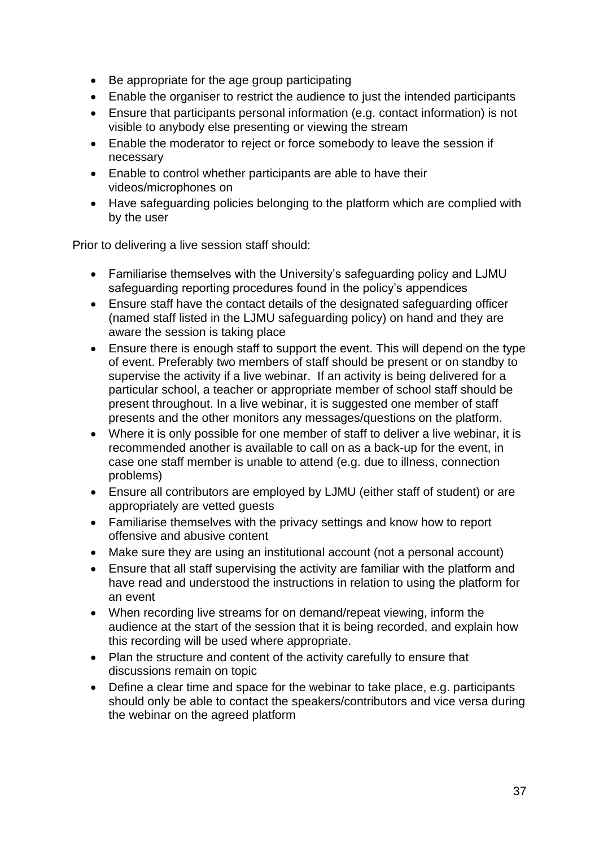- Be appropriate for the age group participating
- Enable the organiser to restrict the audience to just the intended participants
- Ensure that participants personal information (e.g. contact information) is not visible to anybody else presenting or viewing the stream
- Enable the moderator to reject or force somebody to leave the session if necessary
- Enable to control whether participants are able to have their videos/microphones on
- Have safeguarding policies belonging to the platform which are complied with by the user

Prior to delivering a live session staff should:

- Familiarise themselves with the University's safeguarding policy and LJMU safeguarding reporting procedures found in the policy's appendices
- Ensure staff have the contact details of the designated safeguarding officer (named staff listed in the LJMU safeguarding policy) on hand and they are aware the session is taking place
- Ensure there is enough staff to support the event. This will depend on the type of event. Preferably two members of staff should be present or on standby to supervise the activity if a live webinar. If an activity is being delivered for a particular school, a teacher or appropriate member of school staff should be present throughout. In a live webinar, it is suggested one member of staff presents and the other monitors any messages/questions on the platform.
- Where it is only possible for one member of staff to deliver a live webinar, it is recommended another is available to call on as a back-up for the event, in case one staff member is unable to attend (e.g. due to illness, connection problems)
- Ensure all contributors are employed by LJMU (either staff of student) or are appropriately are vetted guests
- Familiarise themselves with the privacy settings and know how to report offensive and abusive content
- Make sure they are using an institutional account (not a personal account)
- Ensure that all staff supervising the activity are familiar with the platform and have read and understood the instructions in relation to using the platform for an event
- When recording live streams for on demand/repeat viewing, inform the audience at the start of the session that it is being recorded, and explain how this recording will be used where appropriate.
- Plan the structure and content of the activity carefully to ensure that discussions remain on topic
- Define a clear time and space for the webinar to take place, e.g. participants should only be able to contact the speakers/contributors and vice versa during the webinar on the agreed platform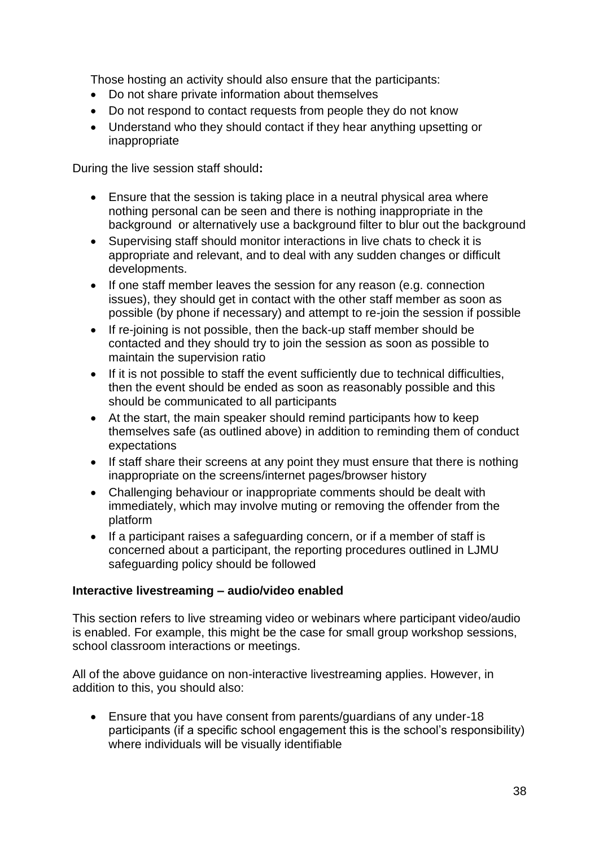Those hosting an activity should also ensure that the participants:

- Do not share private information about themselves
- Do not respond to contact requests from people they do not know
- Understand who they should contact if they hear anything upsetting or inappropriate

During the live session staff should**:** 

- Ensure that the session is taking place in a neutral physical area where nothing personal can be seen and there is nothing inappropriate in the background or alternatively use a background filter to blur out the background
- Supervising staff should monitor interactions in live chats to check it is appropriate and relevant, and to deal with any sudden changes or difficult developments.
- If one staff member leaves the session for any reason (e.g. connection issues), they should get in contact with the other staff member as soon as possible (by phone if necessary) and attempt to re-join the session if possible
- If re-joining is not possible, then the back-up staff member should be contacted and they should try to join the session as soon as possible to maintain the supervision ratio
- If it is not possible to staff the event sufficiently due to technical difficulties, then the event should be ended as soon as reasonably possible and this should be communicated to all participants
- At the start, the main speaker should remind participants how to keep themselves safe (as outlined above) in addition to reminding them of conduct expectations
- If staff share their screens at any point they must ensure that there is nothing inappropriate on the screens/internet pages/browser history
- Challenging behaviour or inappropriate comments should be dealt with immediately, which may involve muting or removing the offender from the platform
- If a participant raises a safeguarding concern, or if a member of staff is concerned about a participant, the reporting procedures outlined in LJMU safeguarding policy should be followed

### **Interactive livestreaming – audio/video enabled**

This section refers to live streaming video or webinars where participant video/audio is enabled. For example, this might be the case for small group workshop sessions, school classroom interactions or meetings.

All of the above guidance on non-interactive livestreaming applies. However, in addition to this, you should also:

• Ensure that you have consent from parents/guardians of any under-18 participants (if a specific school engagement this is the school's responsibility) where individuals will be visually identifiable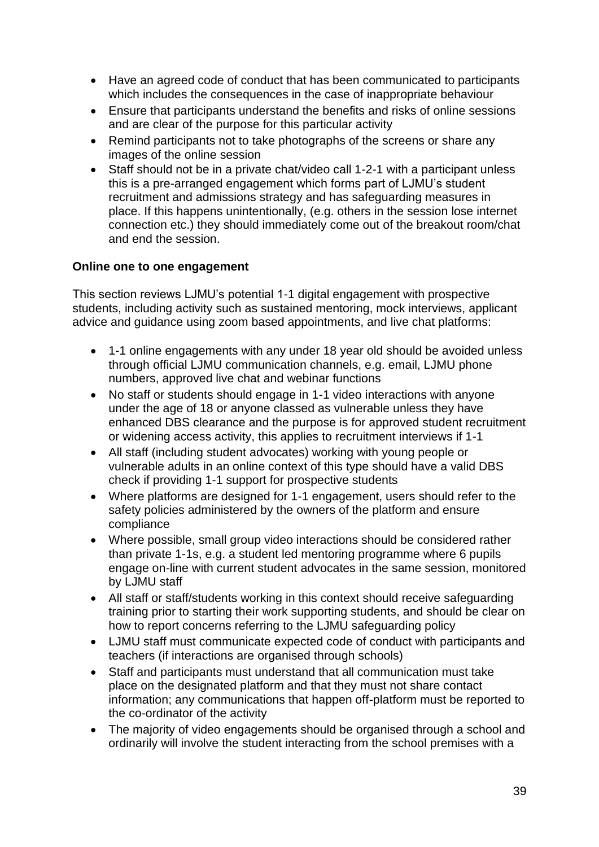- Have an agreed code of conduct that has been communicated to participants which includes the consequences in the case of inappropriate behaviour
- Ensure that participants understand the benefits and risks of online sessions and are clear of the purpose for this particular activity
- Remind participants not to take photographs of the screens or share any images of the online session
- Staff should not be in a private chat/video call 1-2-1 with a participant unless this is a pre-arranged engagement which forms part of LJMU's student recruitment and admissions strategy and has safeguarding measures in place. If this happens unintentionally, (e.g. others in the session lose internet connection etc.) they should immediately come out of the breakout room/chat and end the session.

### **Online one to one engagement**

This section reviews LJMU's potential 1-1 digital engagement with prospective students, including activity such as sustained mentoring, mock interviews, applicant advice and guidance using zoom based appointments, and live chat platforms:

- 1-1 online engagements with any under 18 year old should be avoided unless through official LJMU communication channels, e.g. email, LJMU phone numbers, approved live chat and webinar functions
- No staff or students should engage in 1-1 video interactions with anyone under the age of 18 or anyone classed as vulnerable unless they have enhanced DBS clearance and the purpose is for approved student recruitment or widening access activity, this applies to recruitment interviews if 1-1
- All staff (including student advocates) working with young people or vulnerable adults in an online context of this type should have a valid DBS check if providing 1-1 support for prospective students
- Where platforms are designed for 1-1 engagement, users should refer to the safety policies administered by the owners of the platform and ensure compliance
- Where possible, small group video interactions should be considered rather than private 1-1s, e.g. a student led mentoring programme where 6 pupils engage on-line with current student advocates in the same session, monitored by LJMU staff
- All staff or staff/students working in this context should receive safeguarding training prior to starting their work supporting students, and should be clear on how to report concerns referring to the LJMU safeguarding policy
- LJMU staff must communicate expected code of conduct with participants and teachers (if interactions are organised through schools)
- Staff and participants must understand that all communication must take place on the designated platform and that they must not share contact information; any communications that happen off-platform must be reported to the co-ordinator of the activity
- The majority of video engagements should be organised through a school and ordinarily will involve the student interacting from the school premises with a